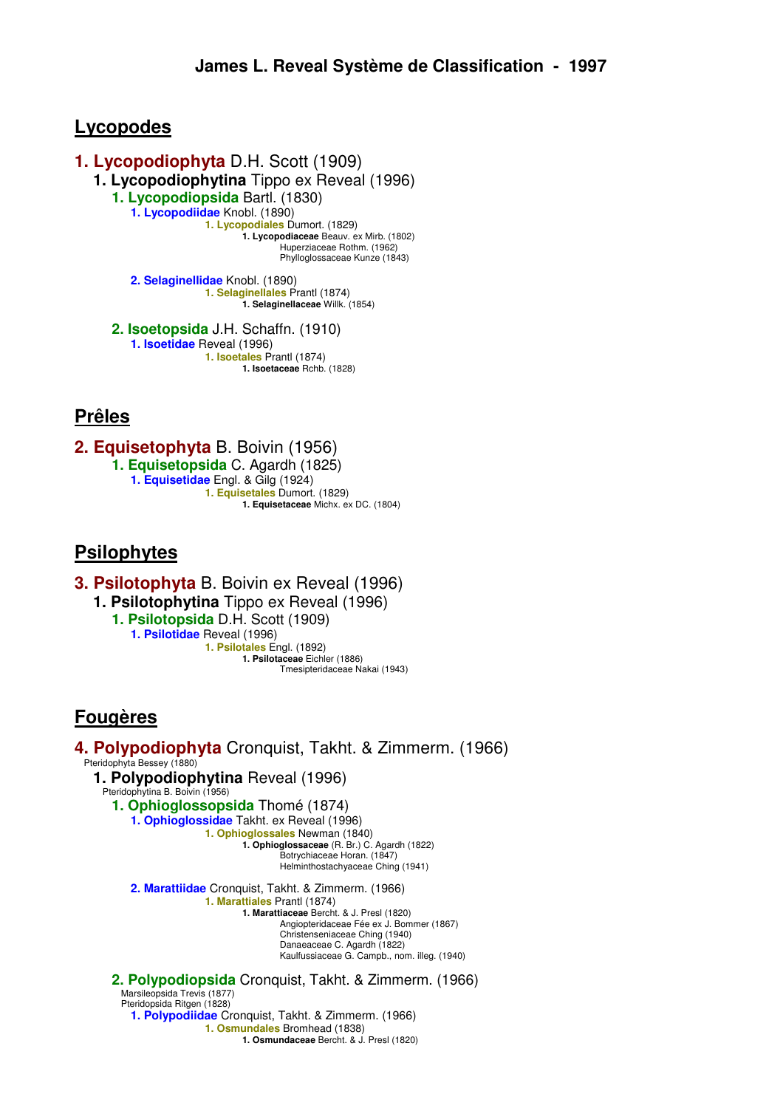# **Lycopodes**

**1. Lycopodiophyta** D.H. Scott (1909) **1. Lycopodiophytina** Tippo ex Reveal (1996) **1. Lycopodiopsida** Bartl. (1830) **1. Lycopodiidae** Knobl. (1890) **1. Lycopodiales** Dumort. (1829) **1. Lycopodiaceae** Beauv. ex Mirb. (1802) Huperziaceae Rothm. (1962) Phylloglossaceae Kunze (1843) **2. Selaginellidae** Knobl. (1890) **1. Selaginellales** Prantl (1874) **1. Selaginellaceae** Willk. (1854)

> **2. Isoetopsida** J.H. Schaffn. (1910) **1. Isoetidae** Reveal (1996) **1. Isoetales** Prantl (1874) **1. Isoetaceae** Rchb. (1828)

# **Prêles**

**2. Equisetophyta** B. Boivin (1956) **1. Equisetopsida** C. Agardh (1825) **1. Equisetidae** Engl. & Gilg (1924) **1. Equisetales** Dumort. (1829) **1. Equisetaceae** Michx. ex DC. (1804)

# **Psilophytes**

**3. Psilotophyta** B. Boivin ex Reveal (1996)

**1. Psilotophytina** Tippo ex Reveal (1996)

**1. Psilotopsida** D.H. Scott (1909) **1. Psilotidae** Reveal (1996) **1. Psilotales** Engl. (1892) **1. Psilotaceae** Eichler (1886) Tmesipteridaceae Nakai (1943)

# **Fougères**

**4. Polypodiophyta** Cronquist, Takht. & Zimmerm. (1966) Pteridophyta Bessey (1880) **1. Polypodiophytina** Reveal (1996) Pteridophytina B. Boivin (1956) **1. Ophioglossopsida** Thomé (1874) **1. Ophioglossidae** Takht. ex Reveal (1996) **1. Ophioglossales** Newman (1840) **1. Ophioglossaceae** (R. Br.) C. Agardh (1822) Botrychiaceae Horan. (1847) Helminthostachyaceae Ching (1941) **2. Marattiidae** Cronquist, Takht. & Zimmerm. (1966) **1. Marattiales** Prantl (1874) **1. Marattiaceae** Bercht. & J. Presl (1820) Angiopteridaceae Fée ex J. Bommer (1867) Christenseniaceae Ching (1940) Danaeaceae C. Agardh (1822) Kaulfussiaceae G. Campb., nom. illeg. (1940) **2. Polypodiopsida** Cronquist, Takht. & Zimmerm. (1966) Marsileopsida Trevis (1877) Pteridopsida Ritgen (1828) **1. Polypodiidae** Cronquist, Takht. & Zimmerm. (1966) **1. Osmundales** Bromhead (1838) **1. Osmundaceae** Bercht. & J. Presl (1820)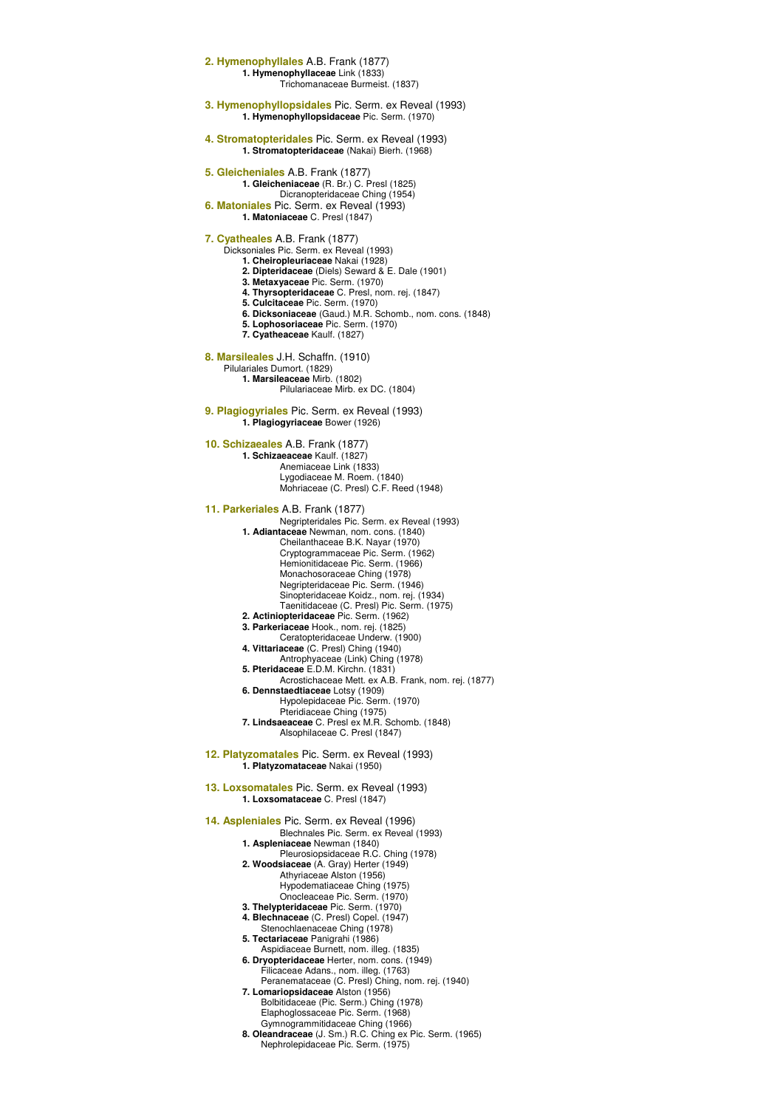**2. Hymenophyllales** A.B. Frank (1877) **1. Hymenophyllaceae** Link (1833) Trichomanaceae Burmeist. (1837) **3. Hymenophyllopsidales** Pic. Serm. ex Reveal (1993) **1. Hymenophyllopsidaceae** Pic. Serm. (1970) **4. Stromatopteridales** Pic. Serm. ex Reveal (1993) **1. Stromatopteridaceae** (Nakai) Bierh. (1968) **5. Gleicheniales** A.B. Frank (1877) **1. Gleicheniaceae** (R. Br.) C. Presl (1825) Dicranopteridaceae Ching (1954) **6. Matoniales** Pic. Serm. ex Reveal (1993) **1. Matoniaceae** C. Presl (1847) **7. Cyatheales** A.B. Frank (1877) Dicksoniales Pic. Serm. ex Reveal (1993) **1. Cheiropleuriaceae** Nakai (1928) **2. Dipteridaceae** (Diels) Seward & E. Dale (1901) **3. Metaxyaceae** Pic. Serm. (1970) **4. Thyrsopteridaceae** C. Presl, nom. rej. (1847) **5. Culcitaceae** Pic. Serm. (1970) **6. Dicksoniaceae** (Gaud.) M.R. Schomb., nom. cons. (1848) **5. Lophosoriaceae** Pic. Serm. (1970) **7. Cyatheaceae** Kaulf. (1827) **8. Marsileales** J.H. Schaffn. (1910) Pilulariales Dumort. (1829) **1. Marsileaceae** Mirb. (1802) Pilulariaceae Mirb. ex DC. (1804) **9. Plagiogyriales** Pic. Serm. ex Reveal (1993) **1. Plagiogyriaceae** Bower (1926) **10. Schizaeales** A.B. Frank (1877) **1. Schizaeaceae** Kaulf. (1827) Anemiaceae Link (1833) Lygodiaceae M. Roem. (1840) Mohriaceae (C. Presl) C.F. Reed (1948) **11. Parkeriales** A.B. Frank (1877) Negripteridales Pic. Serm. ex Reveal (1993) **1. Adiantaceae** Newman, nom. cons. (1840) Cheilanthaceae B.K. Nayar (1970) Cryptogrammaceae Pic. Serm. (1962) Hemionitidaceae Pic. Serm. (1966) Monachosoraceae Ching (1978) Negripteridaceae Pic. Serm. (1946) Sinopteridaceae Koidz., nom. rej. (1934) Taenitidaceae (C. Presl) Pic. Serm. (1975) **2. Actiniopteridaceae** Pic. Serm. (1962) **3. Parkeriaceae** Hook., nom. rej. (1825) Ceratopteridaceae Underw. (1900) **4. Vittariaceae** (C. Presl) Ching (1940) Antrophyaceae (Link) Ching (1978) **5. Pteridaceae** E.D.M. Kirchn. (1831) Acrostichaceae Mett. ex A.B. Frank, nom. rej. (1877) **6. Dennstaedtiaceae** Lotsy (1909) Hypolepidaceae Pic. Serm. (1970) Pteridiaceae Ching (1975) **7. Lindsaeaceae** C. Presl ex M.R. Schomb. (1848) Alsophilaceae C. Presl (1847) **12. Platyzomatales** Pic. Serm. ex Reveal (1993) **1. Platyzomataceae** Nakai (1950) **13. Loxsomatales** Pic. Serm. ex Reveal (1993) **1. Loxsomataceae** C. Presl (1847) **14. Aspleniales** Pic. Serm. ex Reveal (1996) Blechnales Pic. Serm. ex Reveal (1993) **1. Aspleniaceae** Newman (1840) Pleurosiopsidaceae R.C. Ching (1978) **2. Woodsiaceae** (A. Gray) Herter (1949) Athyriaceae Alston (1956) Hypodematiaceae Ching (1975) Onocleaceae Pic. Serm. (1970) **3. Thelypteridaceae** Pic. Serm. (1970) **4. Blechnaceae** (C. Presl) Copel. (1947) Stenochlaenaceae Ching (1978) **5. Tectariaceae** Panigrahi (1986) Aspidiaceae Burnett, nom. illeg. (1835) **6. Dryopteridaceae** Herter, nom. cons. (1949) Filicaceae Adans., nom. illeg. (1763) Peranemataceae (C. Presl) Ching, nom. rej. (1940) **7. Lomariopsidaceae** Alston (1956) Bolbitidaceae (Pic. Serm.) Ching (1978) Elaphoglossaceae Pic. Serm. (1968) Gymnogrammitidaceae Ching (1966) **8. Oleandraceae** (J. Sm.) R.C. Ching ex Pic. Serm. (1965) Nephrolepidaceae Pic. Serm. (1975)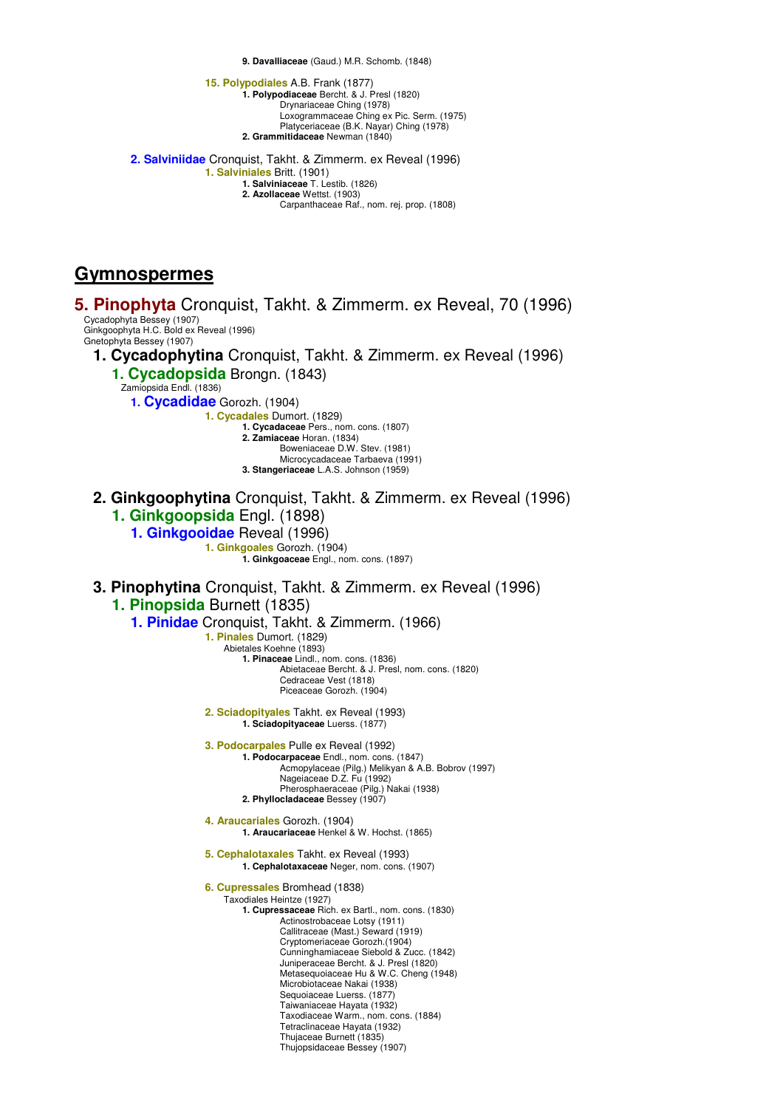**9. Davalliaceae** (Gaud.) M.R. Schomb. (1848)

**15. Polypodiales** A.B. Frank (1877) **1. Polypodiaceae** Bercht. & J. Presl (1820) Drynariaceae Ching (1978) Loxogrammaceae Ching ex Pic. Serm. (1975) Platyceriaceae (B.K. Nayar) Ching (1978) **2. Grammitidaceae** Newman (1840) **2. Salviniidae** Cronquist, Takht. & Zimmerm. ex Reveal (1996) **1. Salviniales** Britt. (1901) **1. Salviniaceae** T. Lestib. (1826) **2. Azollaceae** Wettst. (1903) Carpanthaceae Raf., nom. rej. prop. (1808)

**Gymnospermes**

**5. Pinophyta** Cronquist, Takht. & Zimmerm. ex Reveal, 70 (1996) Cycadophyta Bessey (1907) Ginkgoophyta H.C. Bold ex Reveal (1996) Gnetophyta Bessey (1907) **1. Cycadophytina** Cronquist, Takht. & Zimmerm. ex Reveal (1996) **1. Cycadopsida** Brongn. (1843) Zamiopsida Endl. (1836) **1. Cycadidae** Gorozh. (1904) **1. Cycadales** Dumort. (1829) **1. Cycadaceae** Pers., nom. cons. (1807) **2. Zamiaceae** Horan. (1834) Boweniaceae D.W. Stev. (1981) Microcycadaceae Tarbaeva (1991) **3. Stangeriaceae** L.A.S. Johnson (1959) **2. Ginkgoophytina** Cronquist, Takht. & Zimmerm. ex Reveal (1996) **1. Ginkgoopsida** Engl. (1898) **1. Ginkgooidae** Reveal (1996) **1. Ginkgoales** Gorozh. (1904) **1. Ginkgoaceae** Engl., nom. cons. (1897) **3. Pinophytina** Cronquist, Takht. & Zimmerm. ex Reveal (1996) **1. Pinopsida** Burnett (1835) **1. Pinidae** Cronquist, Takht. & Zimmerm. (1966) **1. Pinales** Dumort. (1829) Abietales Koehne (1893) **1. Pinaceae** Lindl., nom. cons. (1836) Abietaceae Bercht. & J. Presl, nom. cons. (1820) Cedraceae Vest (1818) Piceaceae Gorozh. (1904) **2. Sciadopityales** Takht. ex Reveal (1993) **1. Sciadopityaceae** Luerss. (1877) **3. Podocarpales** Pulle ex Reveal (1992) **1. Podocarpaceae** Endl., nom. cons. (1847) Acmopylaceae (Pilg.) Melikyan & A.B. Bobrov (1997) Nageiaceae D.Z. Fu (1992) Pherosphaeraceae (Pilg.) Nakai (1938) **2. Phyllocladaceae** Bessey (1907) **4. Araucariales** Gorozh. (1904) **1. Araucariaceae** Henkel & W. Hochst. (1865) **5. Cephalotaxales** Takht. ex Reveal (1993) **1. Cephalotaxaceae** Neger, nom. cons. (1907) **6. Cupressales** Bromhead (1838) Taxodiales Heintze (1927) **1. Cupressaceae** Rich. ex Bartl., nom. cons. (1830) Actinostrobaceae Lotsy (1911) Callitraceae (Mast.) Seward (1919) Cryptomeriaceae Gorozh.(1904) Cunninghamiaceae Siebold & Zucc. (1842) Juniperaceae Bercht. & J. Presl (1820) Metasequoiaceae Hu & W.C. Cheng (1948) Microbiotaceae Nakai (1938) Sequoiaceae Luerss. (1877) Taiwaniaceae Hayata (1932) Taxodiaceae Warm., nom. cons. (1884) Tetraclinaceae Hayata (1932) Thujaceae Burnett (1835) Thujopsidaceae Bessey (1907)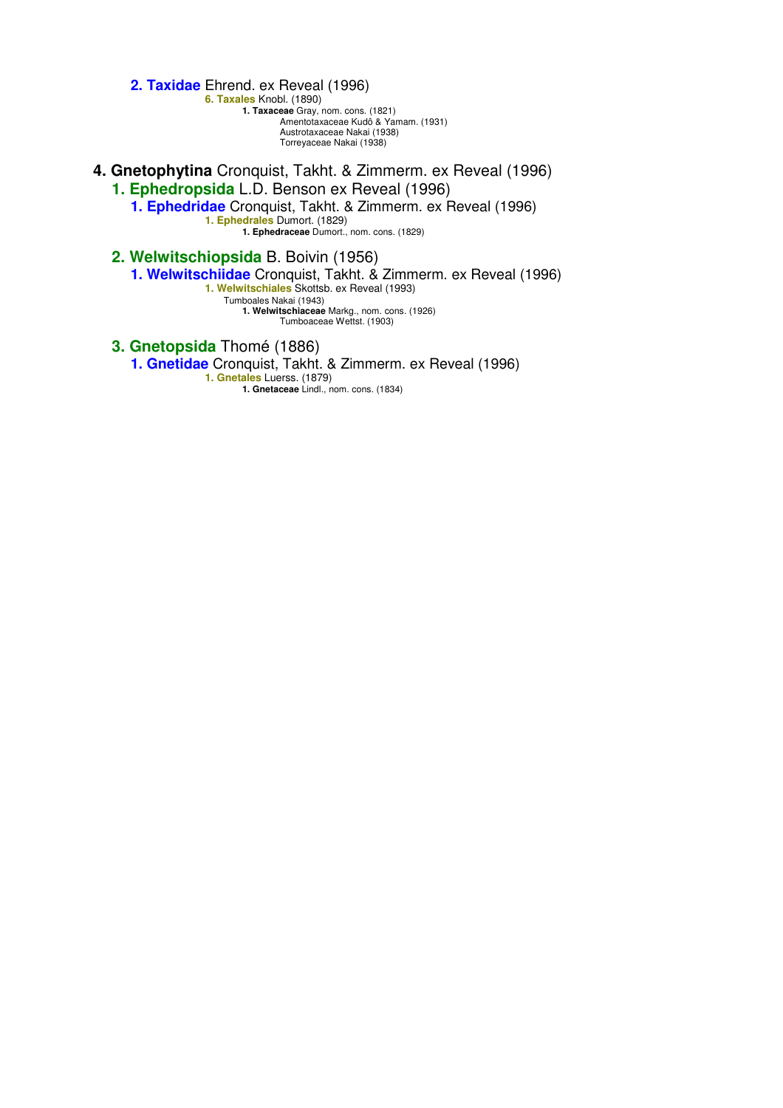**2. Taxidae** Ehrend. ex Reveal (1996)

**6. Taxales** Knobl. (1890) **1. Taxaceae** Gray, nom. cons. (1821) Amentotaxaceae Kudô & Yamam. (1931) Austrotaxaceae Nakai (1938) Torreyaceae Nakai (1938)

**4. Gnetophytina** Cronquist, Takht. & Zimmerm. ex Reveal (1996) **1. Ephedropsida** L.D. Benson ex Reveal (1996)

**1. Ephedridae** Cronquist, Takht. & Zimmerm. ex Reveal (1996) **1. Ephedrales** Dumort. (1829) **1. Ephedraceae** Dumort., nom. cons. (1829)

**2. Welwitschiopsida** B. Boivin (1956)

**1. Welwitschiidae** Cronquist, Takht. & Zimmerm. ex Reveal (1996)

**1. Welwitschiales** Skottsb. ex Reveal (1993)

Tumboales Nakai (1943) **1. Welwitschiaceae** Markg., nom. cons. (1926)

Tumboaceae Wettst. (1903)

**3. Gnetopsida** Thomé (1886)

**1. Gnetidae** Cronquist, Takht. & Zimmerm. ex Reveal (1996)

**1. Gnetales** Luerss. (1879) **1. Gnetaceae** Lindl., nom. cons. (1834)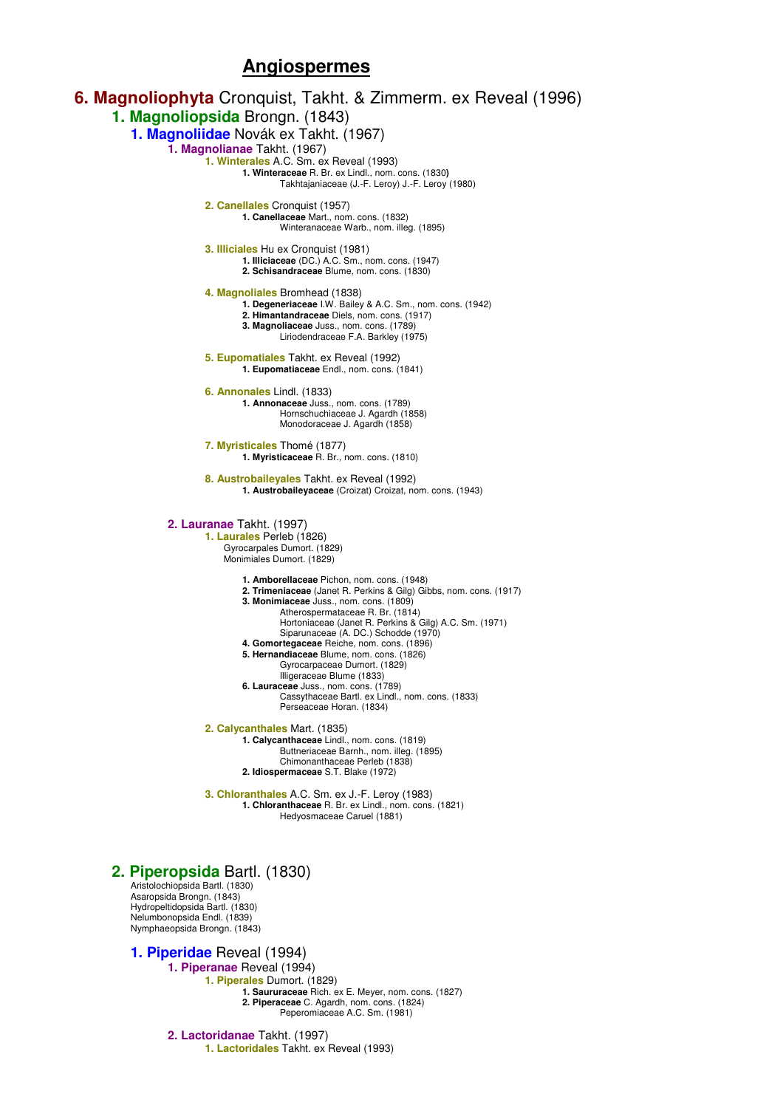# **Angiospermes**



**2. Piperaceae** C. Agardh, nom. cons. (1824) Peperomiaceae A.C. Sm. (1981)

**2. Lactoridanae** Takht. (1997) **1. Lactoridales** Takht. ex Reveal (1993)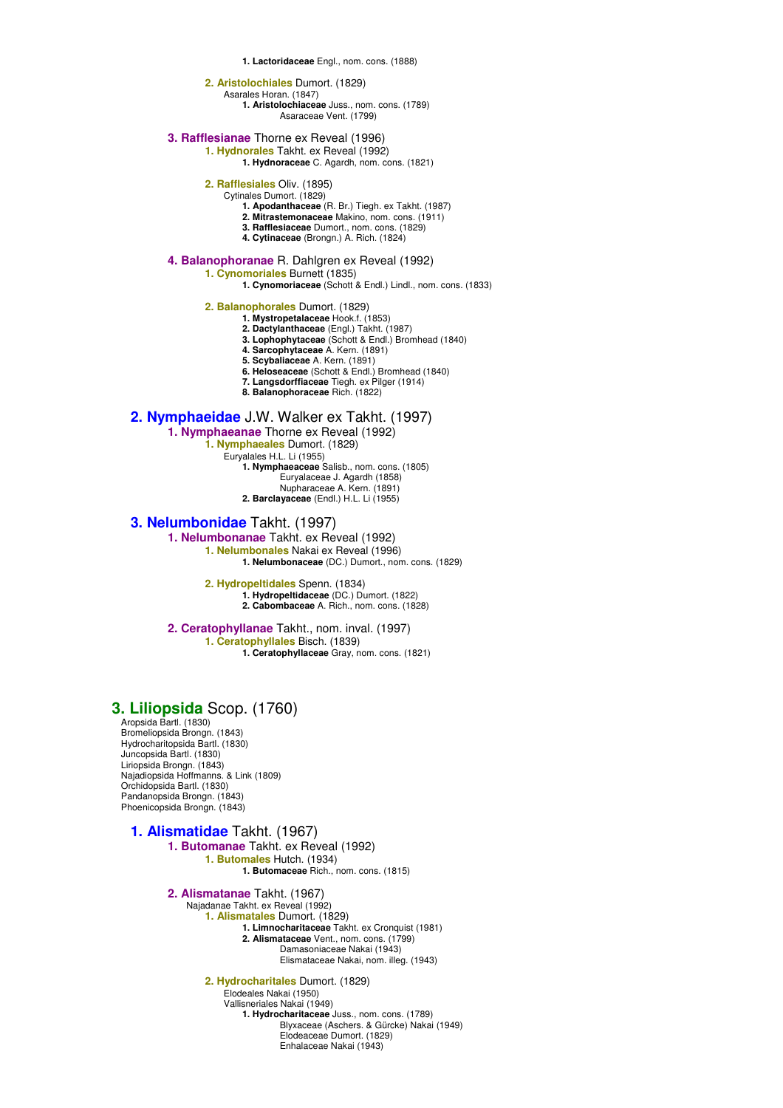**1. Lactoridaceae** Engl., nom. cons. (1888)

### **2. Aristolochiales** Dumort. (1829)

Asarales Horan. (1847)

**1. Aristolochiaceae** Juss., nom. cons. (1789) Asaraceae Vent. (1799)

**3. Rafflesianae** Thorne ex Reveal (1996)

**1. Hydnorales** Takht. ex Reveal (1992)

**1. Hydnoraceae** C. Agardh, nom. cons. (1821)

- **2. Rafflesiales** Oliv. (1895)
	- Cytinales Dumort. (1829)
		- **1. Apodanthaceae** (R. Br.) Tiegh. ex Takht. (1987)
		- **2. Mitrastemonaceae** Makino, nom. cons. (1911)
		- **3. Rafflesiaceae** Dumort., nom. cons. (1829) **4. Cytinaceae** (Brongn.) A. Rich. (1824)
- **4. Balanophoranae** R. Dahlgren ex Reveal (1992)
	- **1. Cynomoriales** Burnett (1835)
		- **1. Cynomoriaceae** (Schott & Endl.) Lindl., nom. cons. (1833)

**2. Balanophorales** Dumort. (1829)

- **1. Mystropetalaceae** Hook.f. (1853)
- **2. Dactylanthaceae** (Engl.) Takht. (1987) **3. Lophophytaceae** (Schott & Endl.) Bromhead (1840)
- **4. Sarcophytaceae** A. Kern. (1891)
- **5. Scybaliaceae** A. Kern. (1891)
- **6. Heloseaceae** (Schott & Endl.) Bromhead (1840)
- **7. Langsdorffiaceae** Tiegh. ex Pilger (1914)
- **8. Balanophoraceae** Rich. (1822)

### **2. Nymphaeidae** J.W. Walker ex Takht. (1997)

- **1. Nymphaeanae** Thorne ex Reveal (1992)
	- **1. Nymphaeales** Dumort. (1829)
		- Euryalales H.L. Li (1955) **1. Nymphaeaceae** Salisb., nom. cons. (1805)

Euryalaceae J. Agardh (1858)

- Nupharaceae A. Kern. (1891)
- **2. Barclayaceae** (Endl.) H.L. Li (1955)

### **3. Nelumbonidae** Takht. (1997)

**1. Nelumbonanae** Takht. ex Reveal (1992) **1. Nelumbonales** Nakai ex Reveal (1996)

**1. Nelumbonaceae** (DC.) Dumort., nom. cons. (1829)

#### **2. Hydropeltidales** Spenn. (1834) **1. Hydropeltidaceae** (DC.) Dumort. (1822) **2. Cabombaceae** A. Rich., nom. cons. (1828)

**2. Ceratophyllanae** Takht., nom. inval. (1997) **1. Ceratophyllales** Bisch. (1839) **1. Ceratophyllaceae** Gray, nom. cons. (1821)

## **3. Liliopsida** Scop. (1760)

Aropsida Bartl. (1830) Bromeliopsida Brongn. (1843) Hydrocharitopsida Bartl. (1830) Juncopsida Bartl. (1830) Liriopsida Brongn. (1843) Najadiopsida Hoffmanns. & Link (1809) Orchidopsida Bartl. (1830) Pandanopsida Brongn. (1843) Phoenicopsida Brongn. (1843)

## **1. Alismatidae** Takht. (1967)

**1. Butomanae** Takht. ex Reveal (1992) **1. Butomales** Hutch. (1934) **1. Butomaceae** Rich., nom. cons. (1815)

**2. Alismatanae** Takht. (1967) Najadanae Takht. ex Reveal (1992)

- **1. Alismatales** Dumort. (1829)
	- **1. Limnocharitaceae** Takht. ex Cronquist (1981)
		- **2. Alismataceae** Vent., nom. cons. (1799)
			- Damasoniaceae Nakai (1943)
			- Elismataceae Nakai, nom. illeg. (1943)

**2. Hydrocharitales** Dumort. (1829) Elodeales Nakai (1950)

Vallisneriales Nakai (1949)

**1. Hydrocharitaceae** Juss., nom. cons. (1789) Blyxaceae (Aschers. & Gürcke) Nakai (1949) Elodeaceae Dumort. (1829) Enhalaceae Nakai (1943)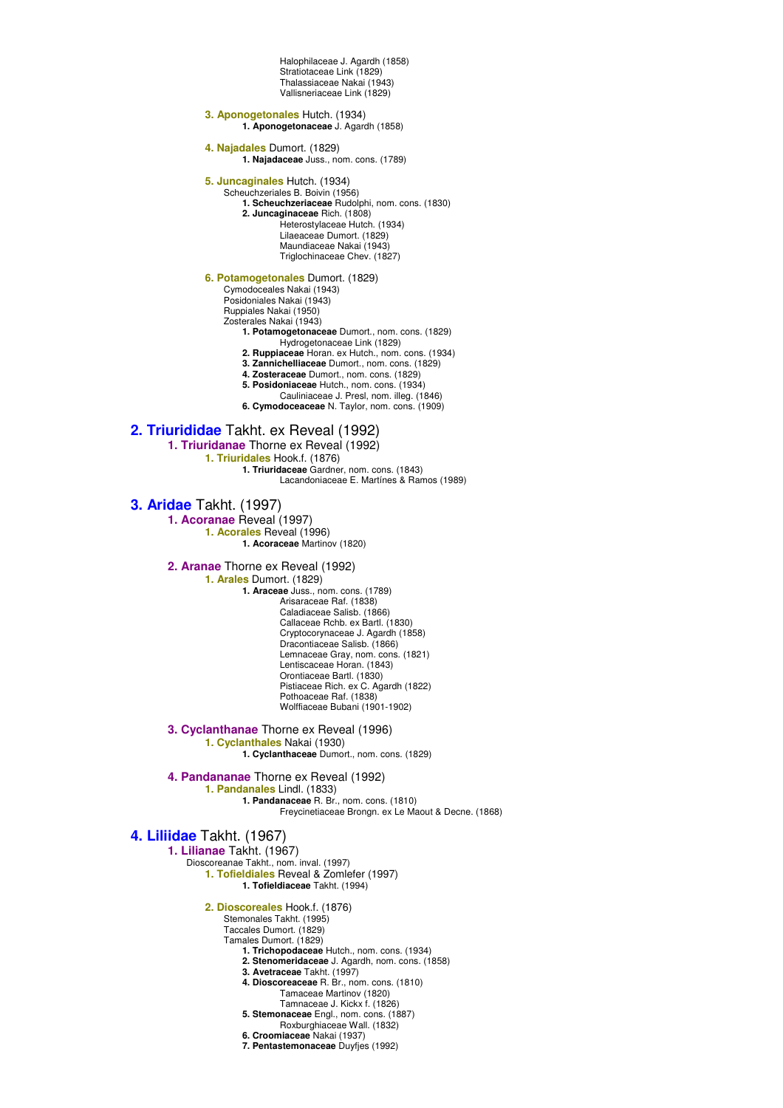Halophilaceae J. Agardh (1858) Stratiotaceae Link (1829) Thalassiaceae Nakai (1943) Vallisneriaceae Link (1829)

**3. Aponogetonales** Hutch. (1934) **1. Aponogetonaceae** J. Agardh (1858)

**4. Najadales** Dumort. (1829) **1. Najadaceae** Juss., nom. cons. (1789)

**5. Juncaginales** Hutch. (1934)

Scheuchzeriales B. Boivin (1956)

**1. Scheuchzeriaceae** Rudolphi, nom. cons. (1830)

**2. Juncaginaceae** Rich. (1808)

Heterostylaceae Hutch. (1934)

Lilaeaceae Dumort. (1829)

Maundiaceae Nakai (1943) Triglochinaceae Chev. (1827)

**6. Potamogetonales** Dumort. (1829)

Cymodoceales Nakai (1943)

Posidoniales Nakai (1943) Ruppiales Nakai (1950)

Zosterales Nakai (1943)

**1. Potamogetonaceae** Dumort., nom. cons. (1829)

Hydrogetonaceae Link (1829)

**2. Ruppiaceae** Horan. ex Hutch., nom. cons. (1934)

**3. Zannichelliaceae** Dumort., nom. cons. (1829) **4. Zosteraceae** Dumort., nom. cons. (1829)

**5. Posidoniaceae** Hutch., nom. cons. (1934)

Cauliniaceae J. Presl, nom. illeg. (1846)

**6. Cymodoceaceae** N. Taylor, nom. cons. (1909)

## **2. Triurididae** Takht. ex Reveal (1992)

**1. Triuridanae** Thorne ex Reveal (1992)

**1. Triuridales** Hook.f. (1876)

**1. Triuridaceae** Gardner, nom. cons. (1843) Lacandoniaceae E. Martínes & Ramos (1989)

**3. Aridae** Takht. (1997)

**1. Acoranae** Reveal (1997) **1. Acorales** Reveal (1996)

**1. Acoraceae** Martinov (1820)

**2. Aranae** Thorne ex Reveal (1992)

**1. Arales** Dumort. (1829)

**1. Araceae** Juss., nom. cons. (1789) Arisaraceae Raf. (1838) Caladiaceae Salisb. (1866) Callaceae Rchb. ex Bartl. (1830) Cryptocorynaceae J. Agardh (1858) Dracontiaceae Salisb. (1866) Lemnaceae Gray, nom. cons. (1821) Lentiscaceae Horan. (1843) Orontiaceae Bartl. (1830) Pistiaceae Rich. ex C. Agardh (1822) Pothoaceae Raf. (1838) Wolffiaceae Bubani (1901-1902)

**3. Cyclanthanae** Thorne ex Reveal (1996) **1. Cyclanthales** Nakai (1930)

**1. Cyclanthaceae** Dumort., nom. cons. (1829)

**4. Pandananae** Thorne ex Reveal (1992)

**1. Pandanales** Lindl. (1833)

**1. Pandanaceae** R. Br., nom. cons. (1810) Freycinetiaceae Brongn. ex Le Maout & Decne. (1868)

# **4. Liliidae** Takht. (1967)

**1. Lilianae** Takht. (1967)

Dioscoreanae Takht., nom. inval. (1997) **1. Tofieldiales** Reveal & Zomlefer (1997)

**1. Tofieldiaceae** Takht. (1994)

**2. Dioscoreales** Hook.f. (1876)

Stemonales Takht. (1995) Taccales Dumort. (1829)

Tamales Dumort. (1829)

- **1. Trichopodaceae** Hutch., nom. cons. (1934)
- **2. Stenomeridaceae** J. Agardh, nom. cons. (1858)
- **3. Avetraceae** Takht. (1997)
- **4. Dioscoreaceae** R. Br., nom. cons. (1810)
	- Tamaceae Martinov (1820)
- Tamnaceae J. Kickx f. (1826) **5. Stemonaceae** Engl., nom. cons. (1887)
	- Roxburghiaceae Wall. (1832)
- **6. Croomiaceae** Nakai (1937)
- **7. Pentastemonaceae** Duyfjes (1992)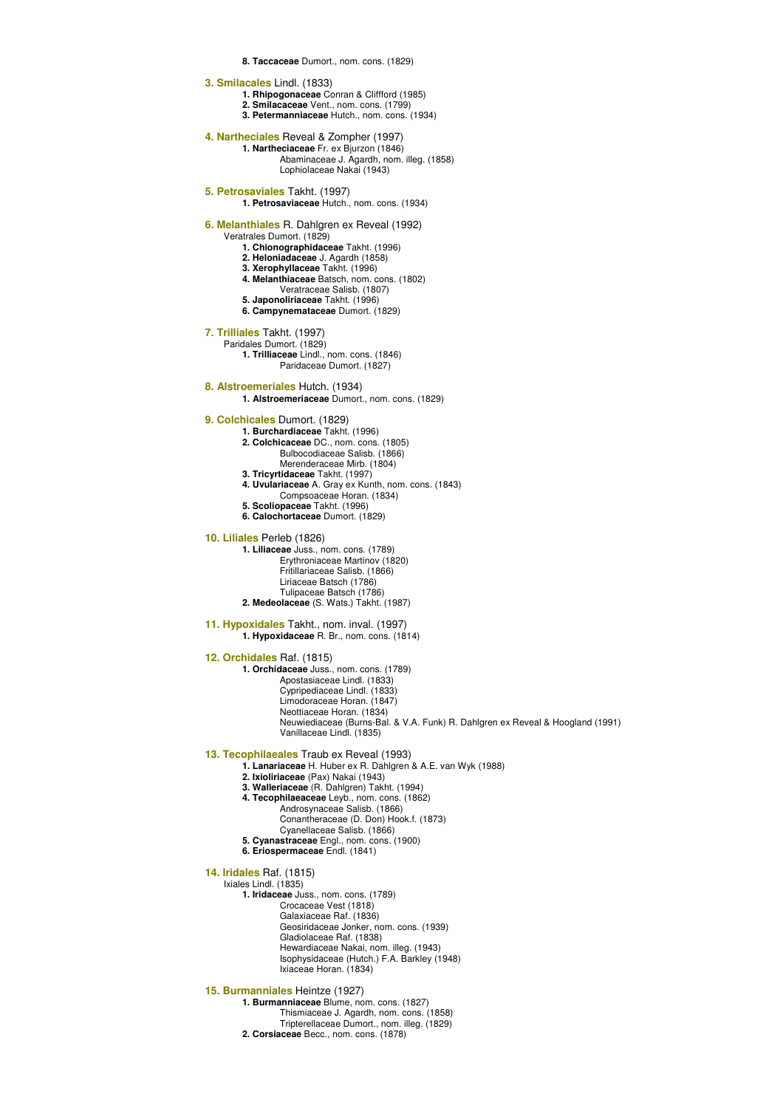### **8. Taccaceae** Dumort., nom. cons. (1829)

**3. Smilacales** Lindl. (1833)

- **1. Rhipogonaceae** Conran & Cliffford (1985)
- **2. Smilacaceae** Vent., nom. cons. (1799)

**3. Petermanniaceae** Hutch., nom. cons. (1934)

**4. Nartheciales** Reveal & Zompher (1997) **1. Nartheciaceae** Fr. ex Bjurzon (1846) Abaminaceae J. Agardh, nom. illeg. (1858) Lophiolaceae Nakai (1943)

- **5. Petrosaviales** Takht. (1997)
- **1. Petrosaviaceae** Hutch., nom. cons. (1934)

**6. Melanthiales** R. Dahlgren ex Reveal (1992)

- Veratrales Dumort. (1829)
	- **1. Chionographidaceae** Takht. (1996)
	- **2. Heloniadaceae** J. Agardh (1858)
	- **3. Xerophyllaceae** Takht. (1996)
	- **4. Melanthiaceae** Batsch, nom. cons. (1802)
	- Veratraceae Salisb. (1807) **5. Japonoliriaceae** Takht. (1996)
	- **6. Campynemataceae** Dumort. (1829)
	-
- **7. Trilliales** Takht. (1997)
	- Paridales Dumort. (1829) **1. Trilliaceae** Lindl., nom. cons. (1846)
		- Paridaceae Dumort. (1827)
- **8. Alstroemeriales** Hutch. (1934)
	- **1. Alstroemeriaceae** Dumort., nom. cons. (1829)
- **9. Colchicales** Dumort. (1829)
	- **1. Burchardiaceae** Takht. (1996)
		- **2. Colchicaceae** DC., nom. cons. (1805)
			- Bulbocodiaceae Salisb. (1866)
		- Merenderaceae Mirb. (1804) **3. Tricyrtidaceae** Takht. (1997)
		-
		- **4. Uvulariaceae** A. Gray ex Kunth, nom. cons. (1843)
		- Compsoaceae Horan. (1834) **5. Scoliopaceae** Takht. (1996)
		- **6. Calochortaceae** Dumort. (1829)
		-

### **10. Liliales** Perleb (1826)

**1. Liliaceae** Juss., nom. cons. (1789) Erythroniaceae Martinov (1820) Fritillariaceae Salisb. (1866) Liriaceae Batsch (1786) Tulipaceae Batsch (1786) **2. Medeolaceae** (S. Wats.) Takht. (1987)

**11. Hypoxidales** Takht., nom. inval. (1997) **1. Hypoxidaceae** R. Br., nom. cons. (1814)

**12. Orchidales** Raf. (1815)

**1. Orchidaceae** Juss., nom. cons. (1789) Apostasiaceae Lindl. (1833) Cypripediaceae Lindl. (1833) Limodoraceae Horan. (1847) Neottiaceae Horan. (1834)

Neuwiediaceae (Burns-Bal. & V.A. Funk) R. Dahlgren ex Reveal & Hoogland (1991) Vanillaceae Lindl. (1835)

### **13. Tecophilaeales** Traub ex Reveal (1993)

- **1. Lanariaceae** H. Huber ex R. Dahlgren & A.E. van Wyk (1988)
- **2. Ixioliriaceae** (Pax) Nakai (1943)
- **3. Walleriaceae** (R. Dahlgren) Takht. (1994)
- **4. Tecophilaeaceae** Leyb., nom. cons. (1862)
	- Androsynaceae Salisb. (1866) Conantheraceae (D. Don) Hook.f. (1873) Cyanellaceae Salisb. (1866)
- **5. Cyanastraceae** Engl., nom. cons. (1900)
- **6. Eriospermaceae** Endl. (1841)
- **14. Iridales** Raf. (1815)

Ixiales Lindl. (1835) **1. Iridaceae** Juss., nom. cons. (1789) Crocaceae Vest (1818) Galaxiaceae Raf. (1836) Geosiridaceae Jonker, nom. cons. (1939) Gladiolaceae Raf. (1838) Hewardiaceae Nakai, nom. illeg. (1943) Isophysidaceae (Hutch.) F.A. Barkley (1948) Ixiaceae Horan. (1834)

**15. Burmanniales** Heintze (1927)

**1. Burmanniaceae** Blume, nom. cons. (1827) Thismiaceae J. Agardh, nom. cons. (1858) Tripterellaceae Dumort., nom. illeg. (1829) **2. Corsiaceae** Becc., nom. cons. (1878)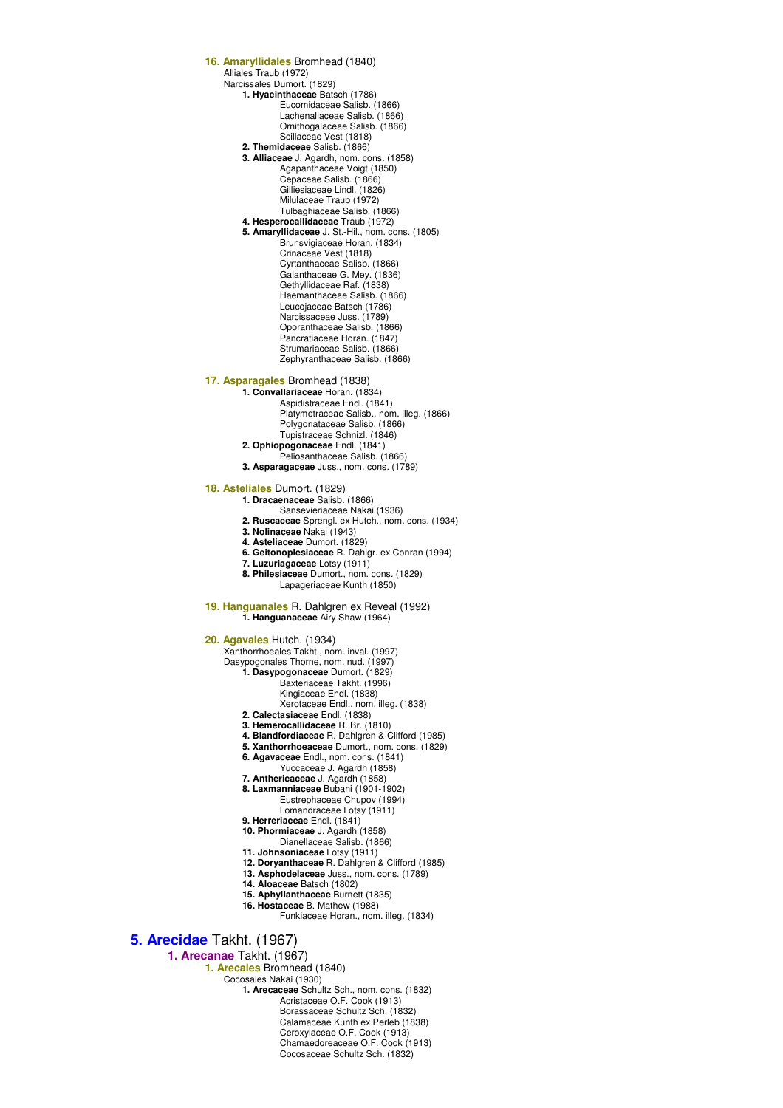**16. Amaryllidales** Bromhead (1840) Alliales Traub (1972) Narcissales Dumort. (1829) **1. Hyacinthaceae** Batsch (1786) Eucomidaceae Salisb. (1866) Lachenaliaceae Salisb. (1866) Ornithogalaceae Salisb. (1866) Scillaceae Vest (1818) **2. Themidaceae** Salisb. (1866) **3. Alliaceae** J. Agardh, nom. cons. (1858) Agapanthaceae Voigt (1850) Cepaceae Salisb. (1866) Gilliesiaceae Lindl. (1826) Milulaceae Traub (1972) Tulbaghiaceae Salisb. (1866) **4. Hesperocallidaceae** Traub (1972) **5. Amaryllidaceae** J. St.-Hil., nom. cons. (1805) Brunsvigiaceae Horan. (1834) Crinaceae Vest (1818) Cyrtanthaceae Salisb. (1866) Galanthaceae G. Mey. (1836) Gethyllidaceae Raf. (1838) Haemanthaceae Salisb. (1866) Leucojaceae Batsch (1786) Narcissaceae Juss. (1789) Oporanthaceae Salisb. (1866) Pancratiaceae Horan. (1847) Strumariaceae Salisb. (1866) Zephyranthaceae Salisb. (1866) **17. Asparagales** Bromhead (1838) **1. Convallariaceae** Horan. (1834) Aspidistraceae Endl. (1841) Platymetraceae Salisb., nom. illeg. (1866) Polygonataceae Salisb. (1866) Tupistraceae Schnizl. (1846) **2. Ophiopogonaceae** Endl. (1841) Peliosanthaceae Salisb. (1866) **3. Asparagaceae** Juss., nom. cons. (1789) **18. Asteliales** Dumort. (1829) **1. Dracaenaceae** Salisb. (1866) Sansevieriaceae Nakai (1936) **2. Ruscaceae** Sprengl. ex Hutch., nom. cons. (1934) **3. Nolinaceae** Nakai (1943) **4. Asteliaceae** Dumort. (1829) **6. Geitonoplesiaceae** R. Dahlgr. ex Conran (1994) **7. Luzuriagaceae** Lotsy (1911) **8. Philesiaceae** Dumort., nom. cons. (1829) Lapageriaceae Kunth (1850) **19. Hanguanales** R. Dahlgren ex Reveal (1992) **1. Hanguanaceae** Airy Shaw (1964) **20. Agavales** Hutch. (1934) Xanthorrhoeales Takht., nom. inval. (1997) Dasypogonales Thorne, nom. nud. (1997) **1. Dasypogonaceae** Dumort. (1829) Baxteriaceae Takht. (1996) Kingiaceae Endl. (1838) Xerotaceae Endl., nom. illeg. (1838) **2. Calectasiaceae** Endl. (1838) **3. Hemerocallidaceae** R. Br. (1810) **4. Blandfordiaceae** R. Dahlgren & Clifford (1985) **5. Xanthorrhoeaceae** Dumort., nom. cons. (1829) **6. Agavaceae** Endl., nom. cons. (1841) Yuccaceae J. Agardh (1858) **7. Anthericaceae** J. Agardh (1858) **8. Laxmanniaceae** Bubani (1901-1902) Eustrephaceae Chupov (1994) Lomandraceae Lotsy (1911) **9. Herreriaceae** Endl. (1841) **10. Phormiaceae** J. Agardh (1858) Dianellaceae Salisb. (1866) **11. Johnsoniaceae** Lotsy (1911) **12. Doryanthaceae** R. Dahlgren & Clifford (1985) **13. Asphodelaceae** Juss., nom. cons. (1789) **14. Aloaceae** Batsch (1802) **15. Aphyllanthaceae** Burnett (1835) **16. Hostaceae** B. Mathew (1988) Funkiaceae Horan., nom. illeg. (1834) **5. Arecidae** Takht. (1967) **1. Arecanae** Takht. (1967) **1. Arecales** Bromhead (1840) Cocosales Nakai (1930) **1. Arecaceae** Schultz Sch., nom. cons. (1832) Acristaceae O.F. Cook (1913) Borassaceae Schultz Sch. (1832) Calamaceae Kunth ex Perleb (1838)

Ceroxylaceae O.F. Cook (1913) Chamaedoreaceae O.F. Cook (1913) Cocosaceae Schultz Sch. (1832)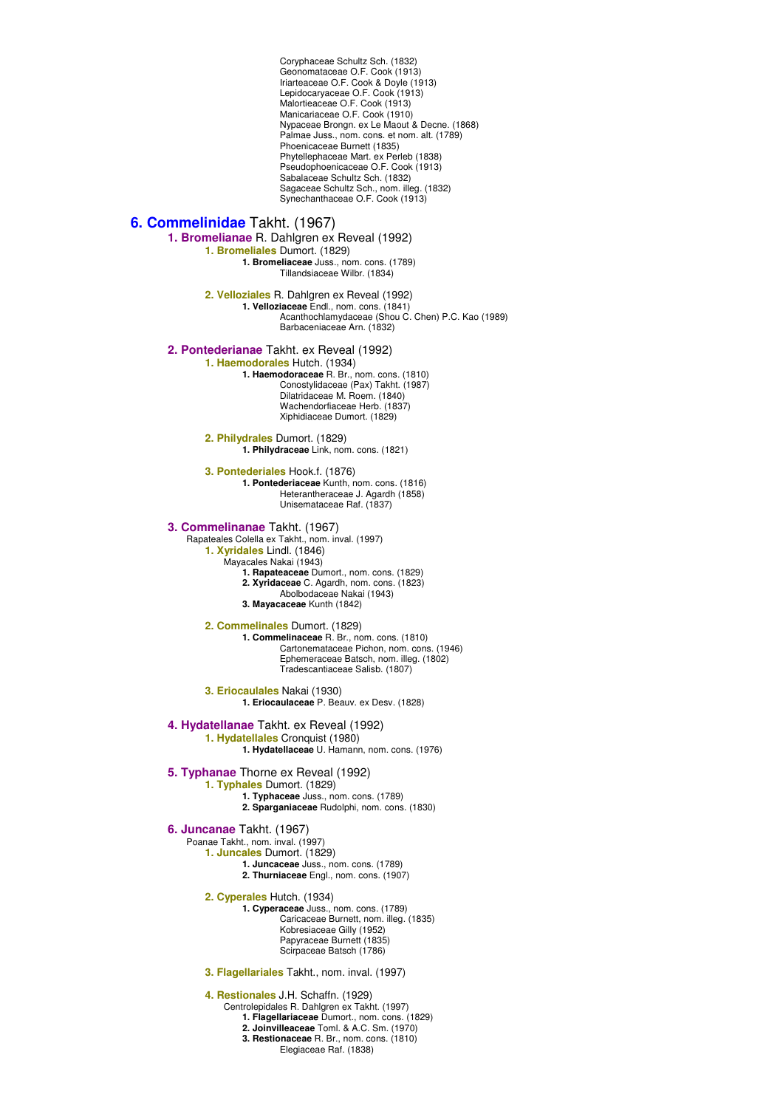Coryphaceae Schultz Sch. (1832) Geonomataceae O.F. Cook (1913) Iriarteaceae O.F. Cook & Doyle (1913) Lepidocaryaceae O.F. Cook (1913) Malortieaceae O.F. Cook (1913) Manicariaceae O.F. Cook (1910) Nypaceae Brongn. ex Le Maout & Decne. (1868) Palmae Juss., nom. cons. et nom. alt. (1789) Phoenicaceae Burnett (1835) Phytellephaceae Mart. ex Perleb (1838) Pseudophoenicaceae O.F. Cook (1913) Sabalaceae Schultz Sch. (1832) Sagaceae Schultz Sch., nom. illeg. (1832) Synechanthaceae O.F. Cook (1913) **6. Commelinidae** Takht. (1967) **1. Bromelianae** R. Dahlgren ex Reveal (1992) **1. Bromeliales** Dumort. (1829) **1. Bromeliaceae** Juss., nom. cons. (1789) Tillandsiaceae Wilbr. (1834) **2. Velloziales** R. Dahlgren ex Reveal (1992) **1. Velloziaceae** Endl., nom. cons. (1841) Acanthochlamydaceae (Shou C. Chen) P.C. Kao (1989) Barbaceniaceae Arn. (1832) **2. Pontederianae** Takht. ex Reveal (1992) **1. Haemodorales** Hutch. (1934) **1. Haemodoraceae** R. Br., nom. cons. (1810) Conostylidaceae (Pax) Takht. (1987) Dilatridaceae M. Roem. (1840) Wachendorfiaceae Herb. (1837) Xiphidiaceae Dumort. (1829) **2. Philydrales** Dumort. (1829) **1. Philydraceae** Link, nom. cons. (1821) **3. Pontederiales** Hook.f. (1876) **1. Pontederiaceae** Kunth, nom. cons. (1816) Heterantheraceae J. Agardh (1858) Unisemataceae Raf. (1837) **3. Commelinanae** Takht. (1967) Rapateales Colella ex Takht., nom. inval. (1997) **1. Xyridales** Lindl. (1846) Mayacales Nakai (1943) **1. Rapateaceae** Dumort., nom. cons. (1829) **2. Xyridaceae** C. Agardh, nom. cons. (1823) Abolbodaceae Nakai (1943) **3. Mayacaceae** Kunth (1842) **2. Commelinales** Dumort. (1829) **1. Commelinaceae** R. Br., nom. cons. (1810) Cartonemataceae Pichon, nom. cons. (1946) Ephemeraceae Batsch, nom. illeg. (1802) Tradescantiaceae Salisb. (1807) **3. Eriocaulales** Nakai (1930) **1. Eriocaulaceae** P. Beauv. ex Desv. (1828) **4. Hydatellanae** Takht. ex Reveal (1992) **1. Hydatellales** Cronquist (1980) **1. Hydatellaceae** U. Hamann, nom. cons. (1976) **5. Typhanae** Thorne ex Reveal (1992) **1. Typhales** Dumort. (1829) **1. Typhaceae** Juss., nom. cons. (1789) **2. Sparganiaceae** Rudolphi, nom. cons. (1830) **6. Juncanae** Takht. (1967) Poanae Takht., nom. inval. (1997) **1. Juncales** Dumort. (1829) **1. Juncaceae** Juss., nom. cons. (1789) **2. Thurniaceae** Engl., nom. cons. (1907) **2. Cyperales** Hutch. (1934) **1. Cyperaceae** Juss., nom. cons. (1789) Caricaceae Burnett, nom. illeg. (1835) Kobresiaceae Gilly (1952) Papyraceae Burnett (1835) Scirpaceae Batsch (1786) **3. Flagellariales** Takht., nom. inval. (1997) **4. Restionales** J.H. Schaffn. (1929) Centrolepidales R. Dahlgren ex Takht. (1997)

> **1. Flagellariaceae** Dumort., nom. cons. (1829) **2. Joinvilleaceae** Toml. & A.C. Sm. (1970) **3. Restionaceae** R. Br., nom. cons. (1810) Elegiaceae Raf. (1838)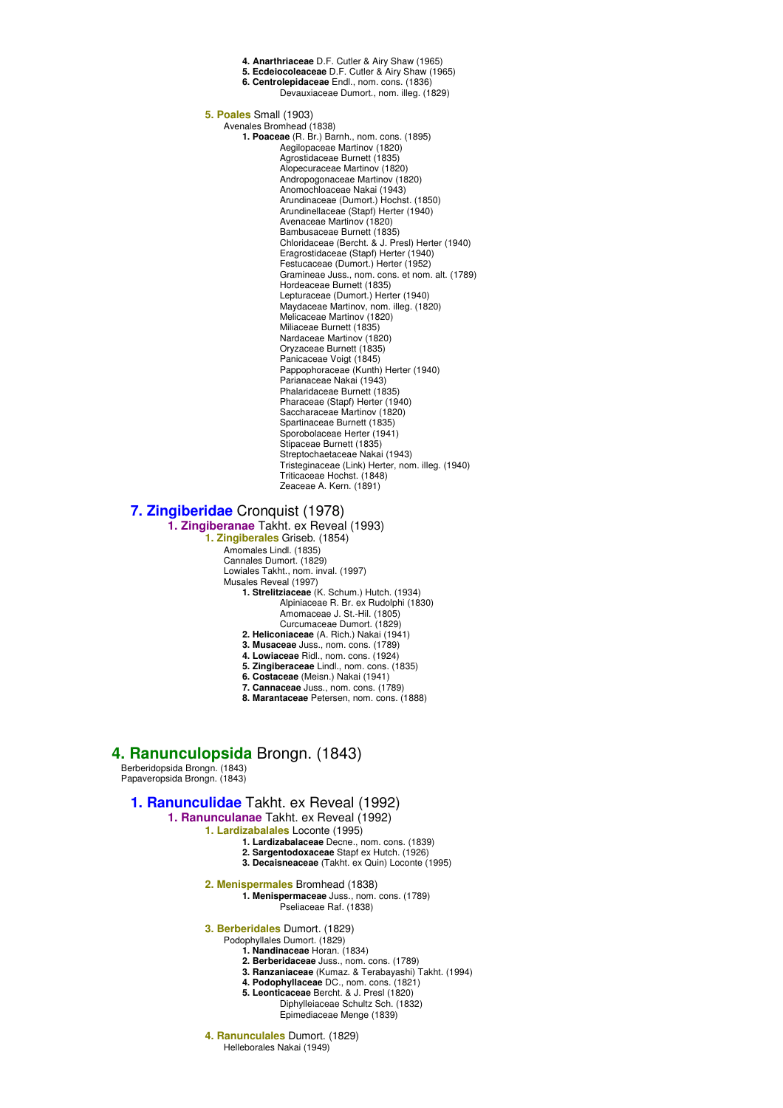**4. Anarthriaceae** D.F. Cutler & Airy Shaw (1965) **5. Ecdeiocoleaceae** D.F. Cutler & Airy Shaw (1965) **6. Centrolepidaceae** Endl., nom. cons. (1836) Devauxiaceae Dumort., nom. illeg. (1829) **5. Poales** Small (1903) Avenales Bromhead (1838) **1. Poaceae** (R. Br.) Barnh., nom. cons. (1895) Aegilopaceae Martinov (1820) Agrostidaceae Burnett (1835) Alopecuraceae Martinov (1820) Andropogonaceae Martinov (1820) Anomochloaceae Nakai (1943) Arundinaceae (Dumort.) Hochst. (1850) Arundinellaceae (Stapf) Herter (1940) Avenaceae Martinov (1820) Bambusaceae Burnett (1835) Chloridaceae (Bercht. & J. Presl) Herter (1940) Eragrostidaceae (Stapf) Herter (1940) Festucaceae (Dumort.) Herter (1952) Gramineae Juss., nom. cons. et nom. alt. (1789) Hordeaceae Burnett (1835) Lepturaceae (Dumort.) Herter (1940) Maydaceae Martinov, nom. illeg. (1820) Melicaceae Martinov (1820) Miliaceae Burnett (1835) Nardaceae Martinov (1820) Oryzaceae Burnett (1835) Panicaceae Voigt (1845) Pappophoraceae (Kunth) Herter (1940) Parianaceae Nakai (1943) Phalaridaceae Burnett (1835) Pharaceae (Stapf) Herter (1940) Saccharaceae Martinov (1820) Spartinaceae Burnett (1835) Sporobolaceae Herter (1941) Stipaceae Burnett (1835) Streptochaetaceae Nakai (1943) Tristeginaceae (Link) Herter, nom. illeg. (1940) Triticaceae Hochst. (1848) Zeaceae A. Kern. (1891)

# **7. Zingiberidae** Cronquist (1978)

**1. Zingiberanae** Takht. ex Reveal (1993) **1. Zingiberales** Griseb. (1854) Amomales Lindl. (1835) Cannales Dumort. (1829) Lowiales Takht., nom. inval. (1997) Musales Reveal (1997) **1. Strelitziaceae** (K. Schum.) Hutch. (1934) Alpiniaceae R. Br. ex Rudolphi (1830) Amomaceae J. St.-Hil. (1805)

- Curcumaceae Dumort. (1829)
- **2. Heliconiaceae** (A. Rich.) Nakai (1941)
- **3. Musaceae** Juss., nom. cons. (1789)
- **4. Lowiaceae** Ridl., nom. cons. (1924)
- **5. Zingiberaceae** Lindl., nom. cons. (1835)
- **6. Costaceae** (Meisn.) Nakai (1941)
- **7. Cannaceae** Juss., nom. cons. (1789)
- **8. Marantaceae** Petersen, nom. cons. (1888)

## **4. Ranunculopsida** Brongn. (1843)

Berberidopsida Brongn. (1843) Papaveropsida Brongn. (1843)

## **1. Ranunculidae** Takht. ex Reveal (1992)

**1. Ranunculanae** Takht. ex Reveal (1992)

**1. Lardizabalales** Loconte (1995)

- **1. Lardizabalaceae** Decne., nom. cons. (1839)
- **2. Sargentodoxaceae** Stapf ex Hutch. (1926)
- **3. Decaisneaceae** (Takht. ex Quin) Loconte (1995)
- **2. Menispermales** Bromhead (1838)
	- **1. Menispermaceae** Juss., nom. cons. (1789) Pseliaceae Raf. (1838)
- **3. Berberidales** Dumort. (1829)
	- Podophyllales Dumort. (1829) **1. Nandinaceae** Horan. (1834)
		-
		- **2. Berberidaceae** Juss., nom. cons. (1789)
		- **3. Ranzaniaceae** (Kumaz. & Terabayashi) Takht. (1994) **4. Podophyllaceae** DC., nom. cons. (1821)
		- **5. Leonticaceae** Bercht. & J. Presl (1820)
			- Diphylleiaceae Schultz Sch. (1832)
				- Epimediaceae Menge (1839)
- **4. Ranunculales** Dumort. (1829) Helleborales Nakai (1949)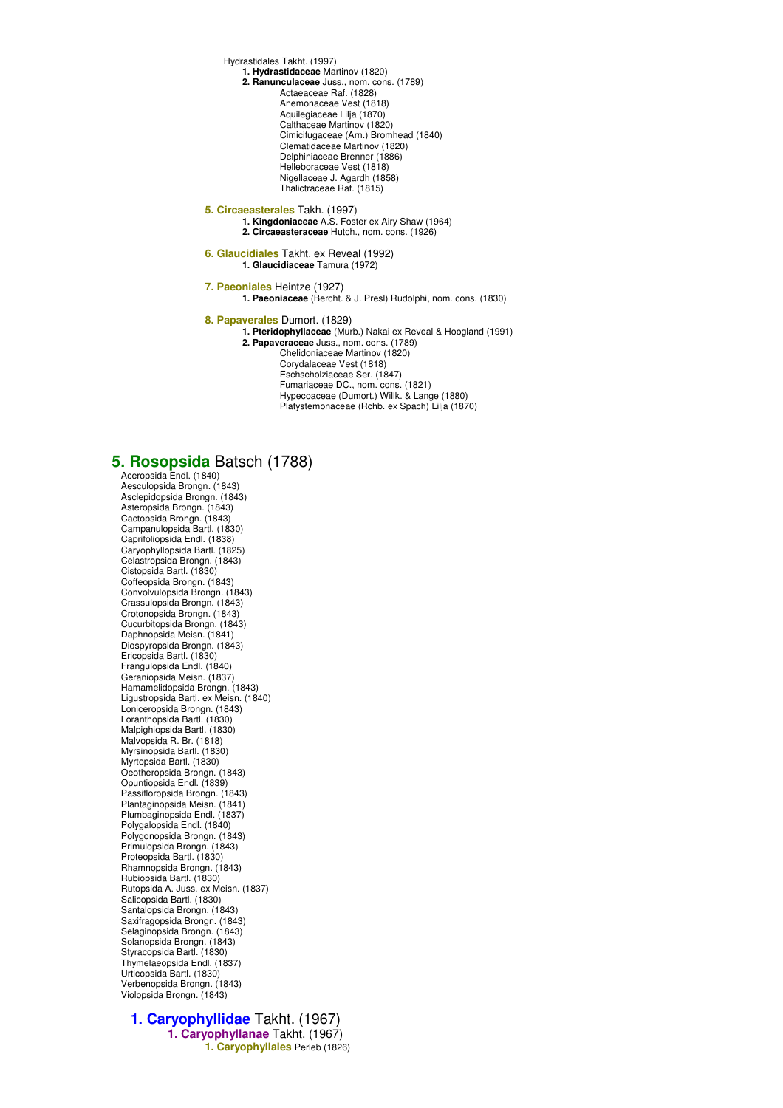Hydrastidales Takht. (1997)

- **1. Hydrastidaceae** Martinov (1820) **2. Ranunculaceae** Juss., nom. cons. (1789)
	- Actaeaceae Raf. (1828) Anemonaceae Vest (1818) Aquilegiaceae Lilja (1870) Calthaceae Martinov (1820) Cimicifugaceae (Arn.) Bromhead (1840) Clematidaceae Martinov (1820) Delphiniaceae Brenner (1886) Helleboraceae Vest (1818) Nigellaceae J. Agardh (1858) Thalictraceae Raf. (1815)
- **5. Circaeasterales** Takh. (1997) **1. Kingdoniaceae** A.S. Foster ex Airy Shaw (1964) **2. Circaeasteraceae** Hutch., nom. cons. (1926)
- **6. Glaucidiales** Takht. ex Reveal (1992) **1. Glaucidiaceae** Tamura (1972)

**7. Paeoniales** Heintze (1927) **1. Paeoniaceae** (Bercht. & J. Presl) Rudolphi, nom. cons. (1830)

**8. Papaverales** Dumort. (1829)

- **1. Pteridophyllaceae** (Murb.) Nakai ex Reveal & Hoogland (1991)
	- **2. Papaveraceae** Juss., nom. cons. (1789) Chelidoniaceae Martinov (1820) Corydalaceae Vest (1818) Eschscholziaceae Ser. (1847) Fumariaceae DC., nom. cons. (1821)
		- Hypecoaceae (Dumort.) Willk. & Lange (1880) Platystemonaceae (Rchb. ex Spach) Lilja (1870)

## **5. Rosopsida** Batsch (1788)

Aceropsida Endl. (1840) Aesculopsida Brongn. (1843) Asclepidopsida Brongn. (1843) Asteropsida Brongn. (1843) Cactopsida Brongn. (1843) Campanulopsida Bartl. (1830) Caprifoliopsida Endl. (1838) Caryophyllopsida Bartl. (1825) Celastropsida Brongn. (1843) Cistopsida Bartl. (1830) Coffeopsida Brongn. (1843) Convolvulopsida Brongn. (1843) Crassulopsida Brongn. (1843) Crotonopsida Brongn. (1843) Cucurbitopsida Brongn. (1843) Daphnopsida Meisn. (1841) Diospyropsida Brongn. (1843) Ericopsida Bartl. (1830) Frangulopsida Endl. (1840) Geraniopsida Meisn. (1837) Hamamelidopsida Brongn. (1843) Ligustropsida Bartl. ex Meisn. (1840) Loniceropsida Brongn. (1843) Loranthopsida Bartl. (1830) Malpighiopsida Bartl. (1830) Malvopsida R. Br. (1818) Myrsinopsida Bartl. (1830) Myrtopsida Bartl. (1830) Oeotheropsida Brongn. (1843) Opuntiopsida Endl. (1839) Passifloropsida Brongn. (1843) Plantaginopsida Meisn. (1841) Plumbaginopsida Endl. (1837) Polygalopsida Endl. (1840) Polygonopsida Brongn. (1843) Primulopsida Brongn. (1843) Proteopsida Bartl. (1830) Rhamnopsida Brongn. (1843) Rubiopsida Bartl. (1830) Rutopsida A. Juss. ex Meisn. (1837) Salicopsida Bartl. (1830) Santalopsida Brongn. (1843) Saxifragopsida Brongn. (1843) Selaginopsida Brongn. (1843) Solanopsida Brongn. (1843) Styracopsida Bartl. (1830) Thymelaeopsida Endl. (1837) Urticopsida Bartl. (1830) Verbenopsida Brongn. (1843) Violopsida Brongn. (1843)

### **1. Caryophyllidae** Takht. (1967) **1. Caryophyllanae** Takht. (1967) **1. Caryophyllales** Perleb (1826)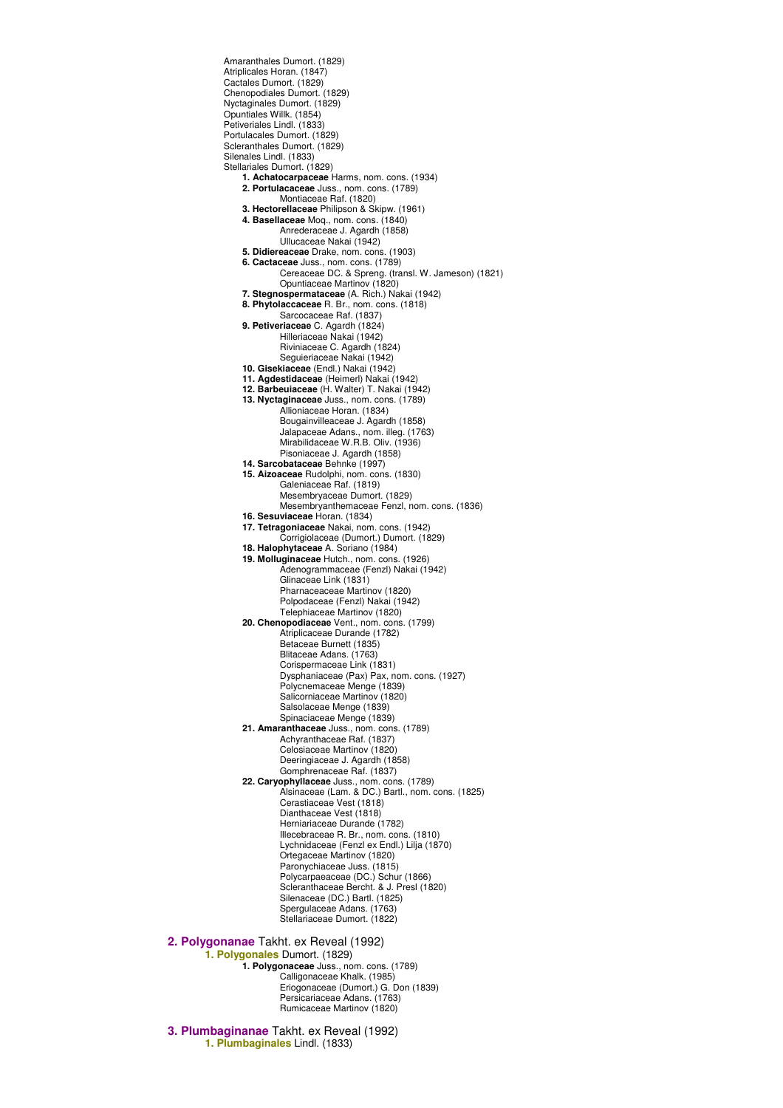Atriplicales Horan. (1847) Cactales Dumort. (1829) Chenopodiales Dumort. (1829) Nyctaginales Dumort. (1829) Opuntiales Willk. (1854) Petiveriales Lindl. (1833) Portulacales Dumort. (1829) Scleranthales Dumort. (1829) Silenales Lindl. (1833) Stellariales Dumort. (1829) **1. Achatocarpaceae** Harms, nom. cons. (1934) **2. Portulacaceae** Juss., nom. cons. (1789) Montiaceae Raf. (1820) **3. Hectorellaceae** Philipson & Skipw. (1961) **4. Basellaceae** Moq., nom. cons. (1840) Anrederaceae J. Agardh (1858) Ullucaceae Nakai (1942) **5. Didiereaceae** Drake, nom. cons. (1903) **6. Cactaceae** Juss., nom. cons. (1789) Cereaceae DC. & Spreng. (transl. W. Jameson) (1821) Opuntiaceae Martinov (1820) **7. Stegnospermataceae** (A. Rich.) Nakai (1942) **8. Phytolaccaceae** R. Br., nom. cons. (1818) Sarcocaceae Raf. (1837) **9. Petiveriaceae** C. Agardh (1824) Hilleriaceae Nakai (1942) Riviniaceae C. Agardh (1824) Seguieriaceae Nakai (1942) **10. Gisekiaceae** (Endl.) Nakai (1942) **11. Agdestidaceae** (Heimerl) Nakai (1942) **12. Barbeuiaceae** (H. Walter) T. Nakai (1942) **13. Nyctaginaceae** Juss., nom. cons. (1789) Allioniaceae Horan. (1834) Bougainvilleaceae J. Agardh (1858) Jalapaceae Adans., nom. illeg. (1763) Mirabilidaceae W.R.B. Oliv. (1936) Pisoniaceae J. Agardh (1858) **14. Sarcobataceae** Behnke (1997) **15. Aizoaceae** Rudolphi, nom. cons. (1830) Galeniaceae Raf. (1819) Mesembryaceae Dumort. (1829) Mesembryanthemaceae Fenzl, nom. cons. (1836) **16. Sesuviaceae** Horan. (1834) **17. Tetragoniaceae** Nakai, nom. cons. (1942) Corrigiolaceae (Dumort.) Dumort. (1829) **18. Halophytaceae** A. Soriano (1984) **19. Molluginaceae** Hutch., nom. cons. (1926) Adenogrammaceae (Fenzl) Nakai (1942) Glinaceae Link (1831) Pharnaceaceae Martinov (1820) Polpodaceae (Fenzl) Nakai (1942) Telephiaceae Martinov (1820) **20. Chenopodiaceae** Vent., nom. cons. (1799) Atriplicaceae Durande (1782) Betaceae Burnett (1835) Blitaceae Adans. (1763) Corispermaceae Link (1831) Dysphaniaceae (Pax) Pax, nom. cons. (1927) Polycnemaceae Menge (1839) Salicorniaceae Martinov (1820) Salsolaceae Menge (1839) Spinaciaceae Menge (1839) **21. Amaranthaceae** Juss., nom. cons. (1789) Achyranthaceae Raf. (1837) Celosiaceae Martinov (1820) Deeringiaceae J. Agardh (1858) Gomphrenaceae Raf. (1837) **22. Caryophyllaceae** Juss., nom. cons. (1789) Alsinaceae (Lam. & DC.) Bartl., nom. cons. (1825) Cerastiaceae Vest (1818) Dianthaceae Vest (1818) Herniariaceae Durande (1782) Illecebraceae R. Br., nom. cons. (1810) Lychnidaceae (Fenzl ex Endl.) Lilja (1870) Ortegaceae Martinov (1820) Paronychiaceae Juss. (1815) Polycarpaeaceae (DC.) Schur (1866) Scleranthaceae Bercht. & J. Presl (1820) Silenaceae (DC.) Bartl. (1825) Spergulaceae Adans. (1763) Stellariaceae Dumort. (1822) **2. Polygonanae** Takht. ex Reveal (1992) **1. Polygonales** Dumort. (1829) **1. Polygonaceae** Juss., nom. cons. (1789) Calligonaceae Khalk. (1985) Eriogonaceae (Dumort.) G. Don (1839) Persicariaceae Adans. (1763) Rumicaceae Martinov (1820) **3. Plumbaginanae** Takht. ex Reveal (1992)

Amaranthales Dumort. (1829)

**1. Plumbaginales** Lindl. (1833)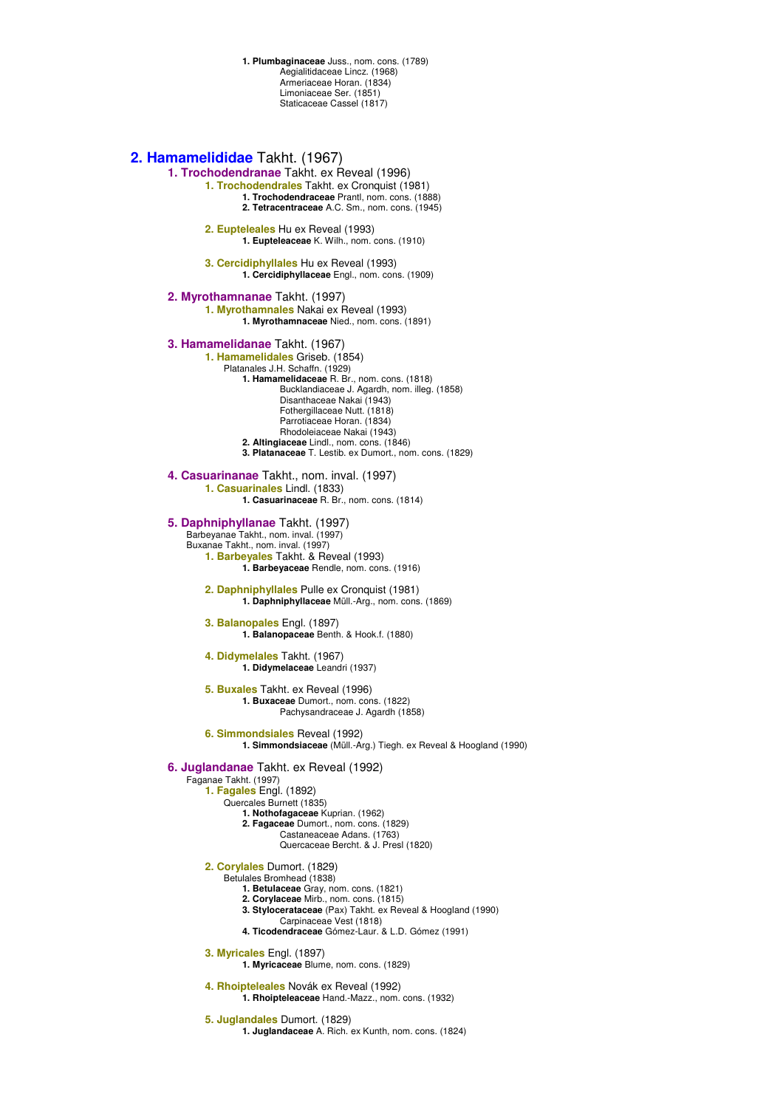**1. Plumbaginaceae** Juss., nom. cons. (1789) Aegialitidaceae Lincz. (1968) Armeriaceae Horan. (1834) Limoniaceae Ser. (1851) Staticaceae Cassel (1817)

### **2. Hamamelididae** Takht. (1967)

**1. Trochodendranae** Takht. ex Reveal (1996) **1. Trochodendrales** Takht. ex Cronquist (1981)

**1. Trochodendraceae** Prantl, nom. cons. (1888) **2. Tetracentraceae** A.C. Sm., nom. cons. (1945)

**2. Eupteleales** Hu ex Reveal (1993) **1. Eupteleaceae** K. Wilh., nom. cons. (1910)

**3. Cercidiphyllales** Hu ex Reveal (1993) **1. Cercidiphyllaceae** Engl., nom. cons. (1909)

**2. Myrothamnanae** Takht. (1997) **1. Myrothamnales** Nakai ex Reveal (1993) **1. Myrothamnaceae** Nied., nom. cons. (1891)

### **3. Hamamelidanae** Takht. (1967)

**1. Hamamelidales** Griseb. (1854) Platanales J.H. Schaffn. (1929) **1. Hamamelidaceae** R. Br., nom. cons. (1818) Bucklandiaceae J. Agardh, nom. illeg. (1858) Disanthaceae Nakai (1943) Fothergillaceae Nutt. (1818) Parrotiaceae Horan. (1834) Rhodoleiaceae Nakai (1943) **2. Altingiaceae** Lindl., nom. cons. (1846) **3. Platanaceae** T. Lestib. ex Dumort., nom. cons. (1829)

**4. Casuarinanae** Takht., nom. inval. (1997) **1. Casuarinales** Lindl. (1833)

**1. Casuarinaceae** R. Br., nom. cons. (1814)

**5. Daphniphyllanae** Takht. (1997)

Barbeyanae Takht., nom. inval. (1997) Buxanae Takht., nom. inval. (1997) **1. Barbeyales** Takht. & Reveal (1993) **1. Barbeyaceae** Rendle, nom. cons. (1916)

**2. Daphniphyllales** Pulle ex Cronquist (1981) **1. Daphniphyllaceae** Müll.-Arg., nom. cons. (1869)

**3. Balanopales** Engl. (1897) **1. Balanopaceae** Benth. & Hook.f. (1880)

**4. Didymelales** Takht. (1967) **1. Didymelaceae** Leandri (1937)

**5. Buxales** Takht. ex Reveal (1996) **1. Buxaceae** Dumort., nom. cons. (1822) Pachysandraceae J. Agardh (1858)

**6. Simmondsiales** Reveal (1992)

**1. Simmondsiaceae** (Müll.-Arg.) Tiegh. ex Reveal & Hoogland (1990)

### **6. Juglandanae** Takht. ex Reveal (1992)

Faganae Takht. (1997)

- **1. Fagales** Engl. (1892)
	- Quercales Burnett (1835)
		- **1. Nothofagaceae** Kuprian. (1962)
		- **2. Fagaceae** Dumort., nom. cons. (1829) Castaneaceae Adans. (1763)
			- Quercaceae Bercht. & J. Presl (1820)

**2. Corylales** Dumort. (1829)

#### Betulales Bromhead (1838)

- **1. Betulaceae** Gray, nom. cons. (1821)
- **2. Corylaceae** Mirb., nom. cons. (1815)
- **3. Stylocerataceae** (Pax) Takht. ex Reveal & Hoogland (1990) Carpinaceae Vest (1818)
- **4. Ticodendraceae** Gómez-Laur. & L.D. Gómez (1991)

**3. Myricales** Engl. (1897)

**1. Myricaceae** Blume, nom. cons. (1829)

**4. Rhoipteleales** Novák ex Reveal (1992)

**1. Rhoipteleaceae** Hand.-Mazz., nom. cons. (1932)

**5. Juglandales** Dumort. (1829)

**1. Juglandaceae** A. Rich. ex Kunth, nom. cons. (1824)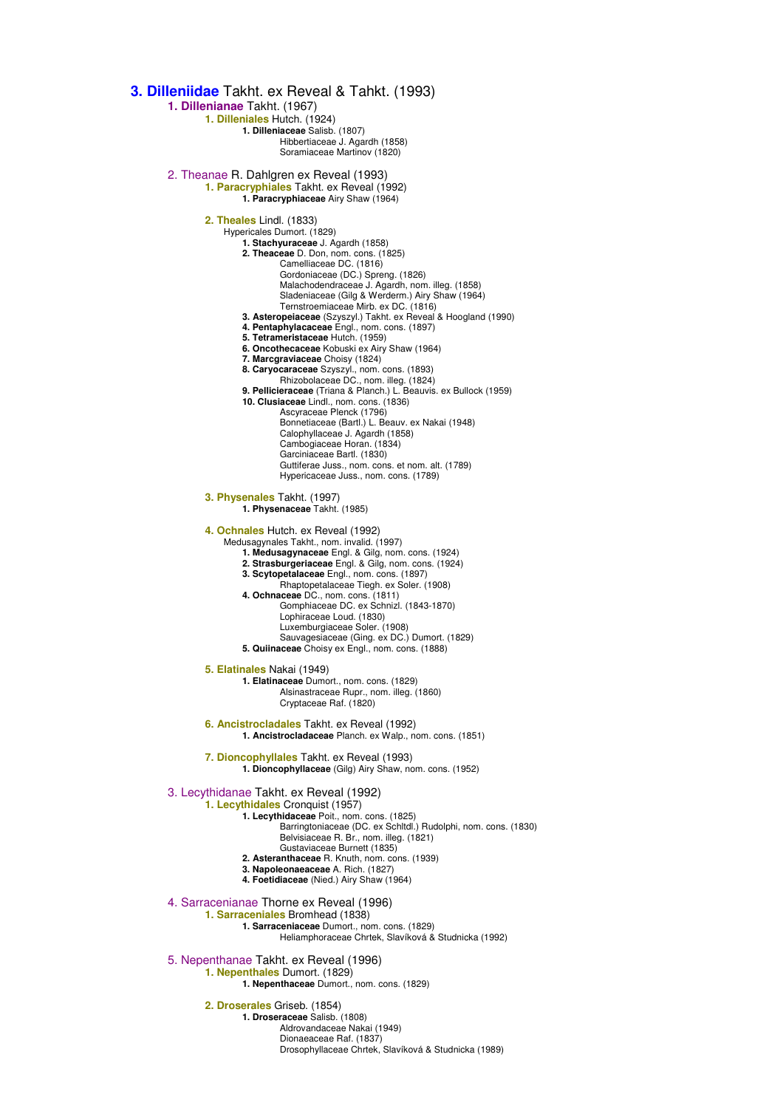**3. Dilleniidae** Takht. ex Reveal & Tahkt. (1993) **1. Dillenianae** Takht. (1967) **1. Dilleniales** Hutch. (1924) **1. Dilleniaceae** Salisb. (1807) Hibbertiaceae J. Agardh (1858) Soramiaceae Martinov (1820) 2. Theanae R. Dahlgren ex Reveal (1993) **1. Paracryphiales** Takht. ex Reveal (1992) **1. Paracryphiaceae** Airy Shaw (1964) **2. Theales** Lindl. (1833) Hypericales Dumort. (1829) **1. Stachyuraceae** J. Agardh (1858) **2. Theaceae** D. Don, nom. cons. (1825) Camelliaceae DC. (1816) Gordoniaceae (DC.) Spreng. (1826) Malachodendraceae J. Agardh, nom. illeg. (1858) Sladeniaceae (Gilg & Werderm.) Airy Shaw (1964) Ternstroemiaceae Mirb. ex DC. (1816) **3. Asteropeiaceae** (Szyszyl.) Takht. ex Reveal & Hoogland (1990) **4. Pentaphylacaceae** Engl., nom. cons. (1897) **5. Tetrameristaceae** Hutch. (1959) **6. Oncothecaceae** Kobuski ex Airy Shaw (1964) **7. Marcgraviaceae** Choisy (1824) **8. Caryocaraceae** Szyszyl., nom. cons. (1893) Rhizobolaceae DC., nom. illeg. (1824) **9. Pellicieraceae** (Triana & Planch.) L. Beauvis. ex Bullock (1959) **10. Clusiaceae** Lindl., nom. cons. (1836) Ascyraceae Plenck (1796) Bonnetiaceae (Bartl.) L. Beauv. ex Nakai (1948) Calophyllaceae J. Agardh (1858) Cambogiaceae Horan. (1834) Garciniaceae Bartl. (1830) Guttiferae Juss., nom. cons. et nom. alt. (1789) Hypericaceae Juss., nom. cons. (1789) **3. Physenales** Takht. (1997) **1. Physenaceae** Takht. (1985) **4. Ochnales** Hutch. ex Reveal (1992) Medusagynales Takht., nom. invalid. (1997) **1. Medusagynaceae** Engl. & Gilg, nom. cons. (1924) **2. Strasburgeriaceae** Engl. & Gilg, nom. cons. (1924) **3. Scytopetalaceae** Engl., nom. cons. (1897) Rhaptopetalaceae Tiegh. ex Soler. (1908) **4. Ochnaceae** DC., nom. cons. (1811) Gomphiaceae DC. ex Schnizl. (1843-1870) Lophiraceae Loud. (1830) Luxemburgiaceae Soler. (1908) Sauvagesiaceae (Ging. ex DC.) Dumort. (1829) **5. Quiinaceae** Choisy ex Engl., nom. cons. (1888) **5. Elatinales** Nakai (1949) **1. Elatinaceae** Dumort., nom. cons. (1829) Alsinastraceae Rupr., nom. illeg. (1860) Cryptaceae Raf. (1820) **6. Ancistrocladales** Takht. ex Reveal (1992) **1. Ancistrocladaceae** Planch. ex Walp., nom. cons. (1851) **7. Dioncophyllales** Takht. ex Reveal (1993) **1. Dioncophyllaceae** (Gilg) Airy Shaw, nom. cons. (1952) 3. Lecythidanae Takht. ex Reveal (1992) **1. Lecythidales** Cronquist (1957) **1. Lecythidaceae** Poit., nom. cons. (1825) Barringtoniaceae (DC. ex Schltdl.) Rudolphi, nom. cons. (1830) Belvisiaceae R. Br., nom. illeg. (1821) Gustaviaceae Burnett (1835) **2. Asteranthaceae** R. Knuth, nom. cons. (1939) **3. Napoleonaeaceae** A. Rich. (1827) **4. Foetidiaceae** (Nied.) Airy Shaw (1964) 4. Sarracenianae Thorne ex Reveal (1996) **1. Sarraceniales** Bromhead (1838) **1. Sarraceniaceae** Dumort., nom. cons. (1829) Heliamphoraceae Chrtek, Slavíková & Studnicka (1992) 5. Nepenthanae Takht. ex Reveal (1996) **1. Nepenthales** Dumort. (1829) **1. Nepenthaceae** Dumort., nom. cons. (1829)

**2. Droserales** Griseb. (1854)

**1. Droseraceae** Salisb. (1808)

Aldrovandaceae Nakai (1949)

Dionaeaceae Raf. (1837) Drosophyllaceae Chrtek, Slavíková & Studnicka (1989)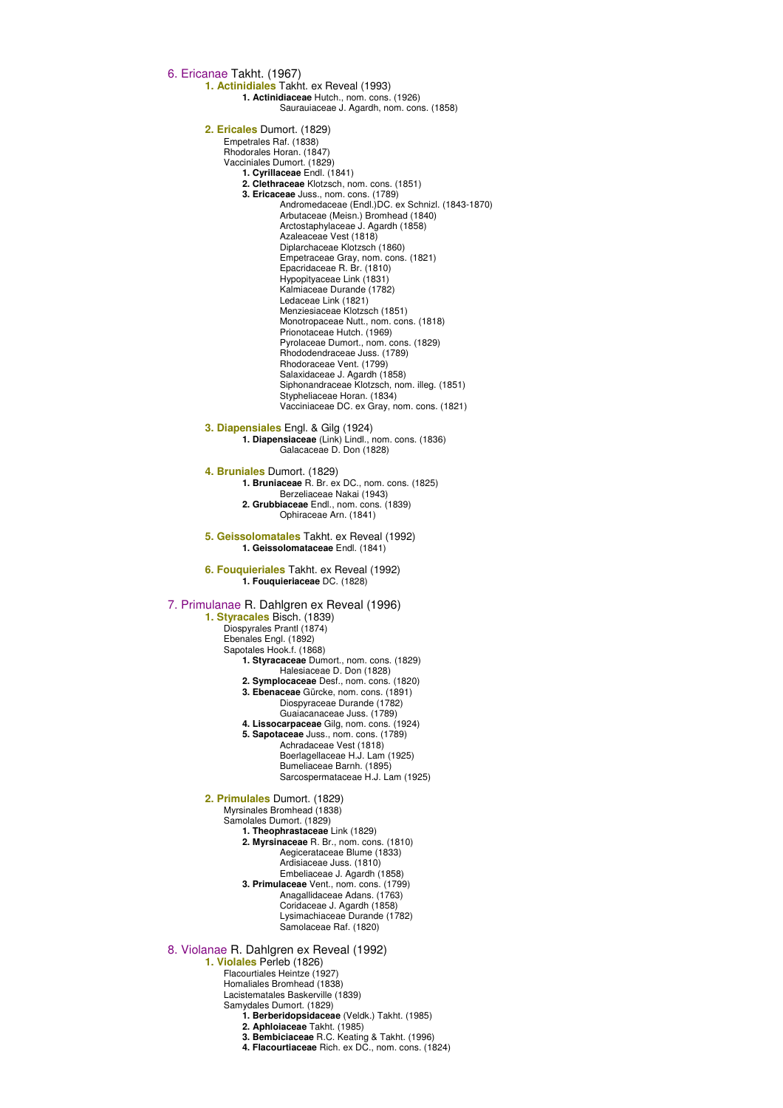6. Ericanae Takht. (1967) **1. Actinidiales** Takht. ex Reveal (1993) **1. Actinidiaceae** Hutch., nom. cons. (1926) Saurauiaceae J. Agardh, nom. cons. (1858) **2. Ericales** Dumort. (1829) Empetrales Raf. (1838) Rhodorales Horan. (1847) Vacciniales Dumort. (1829) **1. Cyrillaceae** Endl. (1841) **2. Clethraceae** Klotzsch, nom. cons. (1851) **3. Ericaceae** Juss., nom. cons. (1789) Andromedaceae (Endl.)DC. ex Schnizl. (1843-1870) Arbutaceae (Meisn.) Bromhead (1840) Arctostaphylaceae J. Agardh (1858) Azaleaceae Vest (1818) Diplarchaceae Klotzsch (1860) Empetraceae Gray, nom. cons. (1821) Epacridaceae R. Br. (1810) Hypopityaceae Link (1831) Kalmiaceae Durande (1782) Ledaceae Link (1821) Menziesiaceae Klotzsch (1851) Monotropaceae Nutt., nom. cons. (1818) Prionotaceae Hutch. (1969) Pyrolaceae Dumort., nom. cons. (1829) Rhododendraceae Juss. (1789) Rhodoraceae Vent. (1799) Salaxidaceae J. Agardh (1858) Siphonandraceae Klotzsch, nom. illeg. (1851) Stypheliaceae Horan. (1834) Vacciniaceae DC. ex Gray, nom. cons. (1821) **3. Diapensiales** Engl. & Gilg (1924) **1. Diapensiaceae** (Link) Lindl., nom. cons. (1836) Galacaceae D. Don (1828) **4. Bruniales** Dumort. (1829) **1. Bruniaceae** R. Br. ex DC., nom. cons. (1825) Berzeliaceae Nakai (1943) **2. Grubbiaceae** Endl., nom. cons. (1839) Ophiraceae Arn. (1841) **5. Geissolomatales** Takht. ex Reveal (1992) **1. Geissolomataceae** Endl. (1841) **6. Fouquieriales** Takht. ex Reveal (1992) **1. Fouquieriaceae** DC. (1828) 7. Primulanae R. Dahlgren ex Reveal (1996) **1. Styracales** Bisch. (1839) Diospyrales Prantl (1874) Ebenales Engl. (1892) Sapotales Hook.f. (1868) **1. Styracaceae** Dumort., nom. cons. (1829) Halesiaceae D. Don (1828) **2. Symplocaceae** Desf., nom. cons. (1820) **3. Ebenaceae** Gürcke, nom. cons. (1891) Diospyraceae Durande (1782) Guaiacanaceae Juss. (1789) **4. Lissocarpaceae** Gilg, nom. cons. (1924) **5. Sapotaceae** Juss., nom. cons. (1789) Achradaceae Vest (1818) Boerlagellaceae H.J. Lam (1925) Bumeliaceae Barnh. (1895) Sarcospermataceae H.J. Lam (1925) **2. Primulales** Dumort. (1829) Myrsinales Bromhead (1838) Samolales Dumort. (1829) **1. Theophrastaceae** Link (1829) **2. Myrsinaceae** R. Br., nom. cons. (1810) Aegicerataceae Blume (1833) Ardisiaceae Juss. (1810) Embeliaceae J. Agardh (1858) **3. Primulaceae** Vent., nom. cons. (1799) Anagallidaceae Adans. (1763) Coridaceae J. Agardh (1858) Lysimachiaceae Durande (1782) Samolaceae Raf. (1820) 8. Violanae R. Dahlgren ex Reveal (1992) **1. Violales** Perleb (1826) Flacourtiales Heintze (1927) Homaliales Bromhead (1838) Lacistematales Baskerville (1839) Samydales Dumort. (1829) **1. Berberidopsidaceae** (Veldk.) Takht. (1985) **2. Aphloiaceae** Takht. (1985) **3. Bembiciaceae** R.C. Keating & Takht. (1996) **4. Flacourtiaceae** Rich. ex DC., nom. cons. (1824)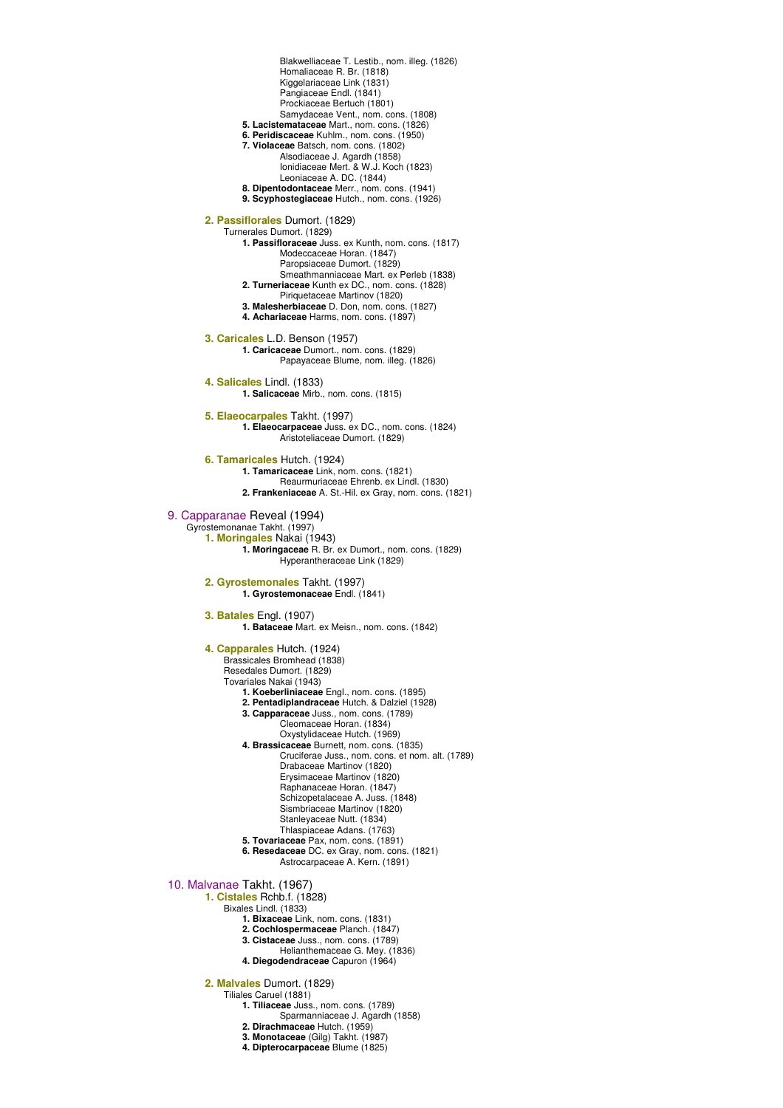Homaliaceae R. Br. (1818) Kiggelariaceae Link (1831) Pangiaceae Endl. (1841) Prockiaceae Bertuch (1801) Samydaceae Vent., nom. cons. (1808) **5. Lacistemataceae** Mart., nom. cons. (1826) **6. Peridiscaceae** Kuhlm., nom. cons. (1950) **7. Violaceae** Batsch, nom. cons. (1802) Alsodiaceae J. Agardh (1858) Ionidiaceae Mert. & W.J. Koch (1823) Leoniaceae A. DC. (1844) **8. Dipentodontaceae** Merr., nom. cons. (1941) **9. Scyphostegiaceae** Hutch., nom. cons. (1926) **2. Passiflorales** Dumort. (1829) Turnerales Dumort. (1829) **1. Passifloraceae** Juss. ex Kunth, nom. cons. (1817) Modeccaceae Horan. (1847) Paropsiaceae Dumort. (1829) Smeathmanniaceae Mart. ex Perleb (1838) **2. Turneriaceae** Kunth ex DC., nom. cons. (1828) Piriquetaceae Martinov (1820) **3. Malesherbiaceae** D. Don, nom. cons. (1827) **4. Achariaceae** Harms, nom. cons. (1897) **3. Caricales** L.D. Benson (1957) **1. Caricaceae** Dumort., nom. cons. (1829) Papayaceae Blume, nom. illeg. (1826) **4. Salicales** Lindl. (1833) **1. Salicaceae** Mirb., nom. cons. (1815) **5. Elaeocarpales** Takht. (1997) **1. Elaeocarpaceae** Juss. ex DC., nom. cons. (1824) Aristoteliaceae Dumort. (1829) **6. Tamaricales** Hutch. (1924) **1. Tamaricaceae** Link, nom. cons. (1821) Reaurmuriaceae Ehrenb. ex Lindl. (1830) **2. Frankeniaceae** A. St.-Hil. ex Gray, nom. cons. (1821) 9. Capparanae Reveal (1994) Gyrostemonanae Takht. (1997) **1. Moringales** Nakai (1943) **1. Moringaceae** R. Br. ex Dumort., nom. cons. (1829) Hyperantheraceae Link (1829) **2. Gyrostemonales** Takht. (1997) **1. Gyrostemonaceae** Endl. (1841) **3. Batales** Engl. (1907) **1. Bataceae** Mart. ex Meisn., nom. cons. (1842) **4. Capparales** Hutch. (1924) Brassicales Bromhead (1838) Resedales Dumort. (1829) Tovariales Nakai (1943) **1. Koeberliniaceae** Engl., nom. cons. (1895) **2. Pentadiplandraceae** Hutch. & Dalziel (1928) **3. Capparaceae** Juss., nom. cons. (1789) Cleomaceae Horan. (1834) Oxystylidaceae Hutch. (1969) **4. Brassicaceae** Burnett, nom. cons. (1835) Cruciferae Juss., nom. cons. et nom. alt. (1789) Drabaceae Martinov (1820) Erysimaceae Martinov (1820) Raphanaceae Horan. (1847) Schizopetalaceae A. Juss. (1848) Sismbriaceae Martinov (1820) Stanleyaceae Nutt. (1834) Thlaspiaceae Adans. (1763) **5. Tovariaceae** Pax, nom. cons. (1891) **6. Resedaceae** DC. ex Gray, nom. cons. (1821) Astrocarpaceae A. Kern. (1891) 10. Malvanae Takht. (1967) **1. Cistales** Rchb.f. (1828) Bixales Lindl. (1833) **1. Bixaceae** Link, nom. cons. (1831) **2. Cochlospermaceae** Planch. (1847) **3. Cistaceae** Juss., nom. cons. (1789) Helianthemaceae G. Mey. (1836) **4. Diegodendraceae** Capuron (1964) **2. Malvales** Dumort. (1829) Tiliales Caruel (1881) **1. Tiliaceae** Juss., nom. cons. (1789) Sparmanniaceae J. Agardh (1858)

Blakwelliaceae T. Lestib., nom. illeg. (1826)

- **2. Dirachmaceae** Hutch. (1959)
- **3. Monotaceae** (Gilg) Takht. (1987)
- **4. Dipterocarpaceae** Blume (1825)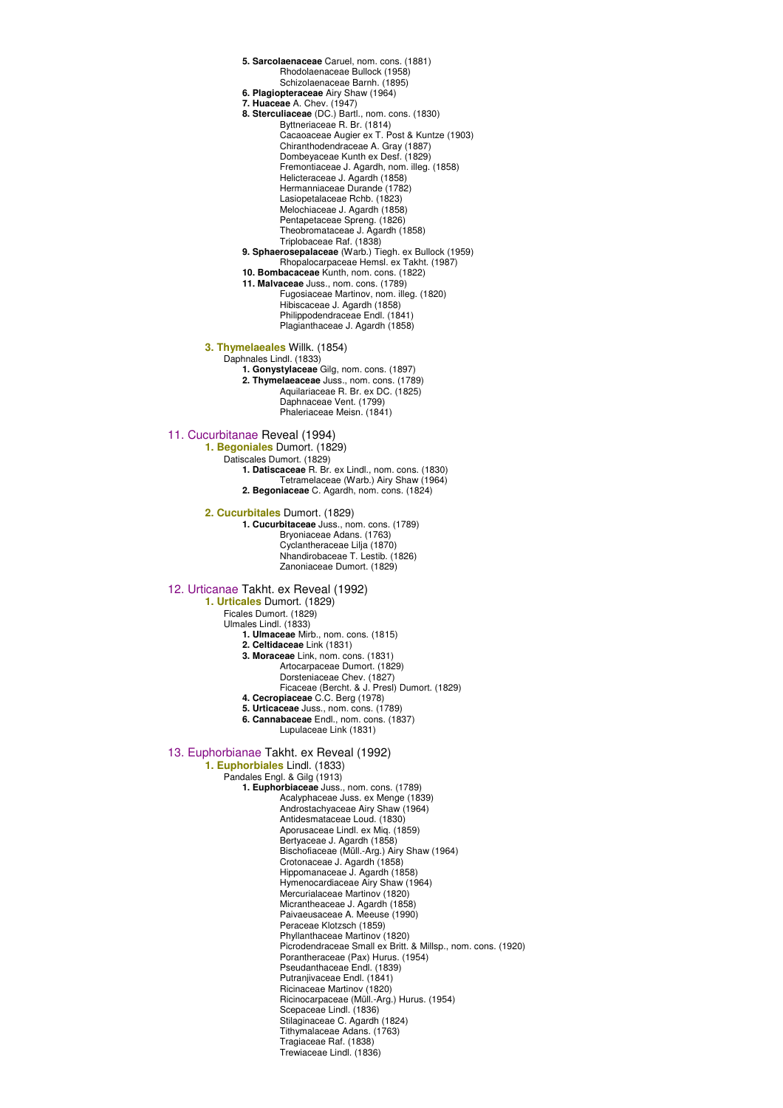**5. Sarcolaenaceae** Caruel, nom. cons. (1881) Rhodolaenaceae Bullock (1958) Schizolaenaceae Barnh. (1895) **6. Plagiopteraceae** Airy Shaw (1964) **7. Huaceae** A. Chev. (1947) **8. Sterculiaceae** (DC.) Bartl., nom. cons. (1830) Byttneriaceae R. Br. (1814) Cacaoaceae Augier ex T. Post & Kuntze (1903) Chiranthodendraceae A. Gray (1887) Dombeyaceae Kunth ex Desf. (1829) Fremontiaceae J. Agardh, nom. illeg. (1858) Helicteraceae J. Agardh (1858) Hermanniaceae Durande (1782) Lasiopetalaceae Rchb. (1823) Melochiaceae J. Agardh (1858) Pentapetaceae Spreng. (1826) Theobromataceae J. Agardh (1858) Triplobaceae Raf. (1838) **9. Sphaerosepalaceae** (Warb.) Tiegh. ex Bullock (1959) Rhopalocarpaceae Hemsl. ex Takht. (1987) **10. Bombacaceae** Kunth, nom. cons. (1822) **11. Malvaceae** Juss., nom. cons. (1789) Fugosiaceae Martinov, nom. illeg. (1820) Hibiscaceae J. Agardh (1858) Philippodendraceae Endl. (1841) Plagianthaceae J. Agardh (1858) **3. Thymelaeales** Willk. (1854) Daphnales Lindl. (1833) **1. Gonystylaceae** Gilg, nom. cons. (1897) **2. Thymelaeaceae** Juss., nom. cons. (1789) Aquilariaceae R. Br. ex DC. (1825) Daphnaceae Vent. (1799) Phaleriaceae Meisn. (1841) 11. Cucurbitanae Reveal (1994) **1. Begoniales** Dumort. (1829) Datiscales Dumort. (1829) **1. Datiscaceae** R. Br. ex Lindl., nom. cons. (1830) Tetramelaceae (Warb.) Airy Shaw (1964) **2. Begoniaceae** C. Agardh, nom. cons. (1824) **2. Cucurbitales** Dumort. (1829) **1. Cucurbitaceae** Juss., nom. cons. (1789) Bryoniaceae Adans. (1763) Cyclantheraceae Lilja (1870) Nhandirobaceae T. Lestib. (1826) Zanoniaceae Dumort. (1829) 12. Urticanae Takht. ex Reveal (1992) **1. Urticales** Dumort. (1829) Ficales Dumort. (1829) Ulmales Lindl. (1833) **1. Ulmaceae** Mirb., nom. cons. (1815) **2. Celtidaceae** Link (1831) **3. Moraceae** Link, nom. cons. (1831) Artocarpaceae Dumort. (1829) Dorsteniaceae Chev. (1827) Ficaceae (Bercht. & J. Presl) Dumort. (1829) **4. Cecropiaceae** C.C. Berg (1978) **5. Urticaceae** Juss., nom. cons. (1789) **6. Cannabaceae** Endl., nom. cons. (1837) Lupulaceae Link (1831) 13. Euphorbianae Takht. ex Reveal (1992) **1. Euphorbiales** Lindl. (1833) Pandales Engl. & Gilg (1913) **1. Euphorbiaceae** Juss., nom. cons. (1789) Acalyphaceae Juss. ex Menge (1839) Androstachyaceae Airy Shaw (1964) Antidesmataceae Loud. (1830) Aporusaceae Lindl. ex Miq. (1859) Bertyaceae J. Agardh (1858) Bischofiaceae (Müll.-Arg.) Airy Shaw (1964) Crotonaceae J. Agardh (1858) Hippomanaceae J. Agardh (1858) Hymenocardiaceae Airy Shaw (1964) Mercurialaceae Martinov (1820) Micrantheaceae J. Agardh (1858) Paivaeusaceae A. Meeuse (1990) Peraceae Klotzsch (1859) Phyllanthaceae Martinov (1820) Picrodendraceae Small ex Britt. & Millsp., nom. cons. (1920) Porantheraceae (Pax) Hurus. (1954) Pseudanthaceae Endl. (1839) Putranjivaceae Endl. (1841) Ricinaceae Martinov (1820) Ricinocarpaceae (Müll.-Arg.) Hurus. (1954) Scepaceae Lindl. (1836) Stilaginaceae C. Agardh (1824) Tithymalaceae Adans. (1763)

Tragiaceae Raf. (1838) Trewiaceae Lindl. (1836)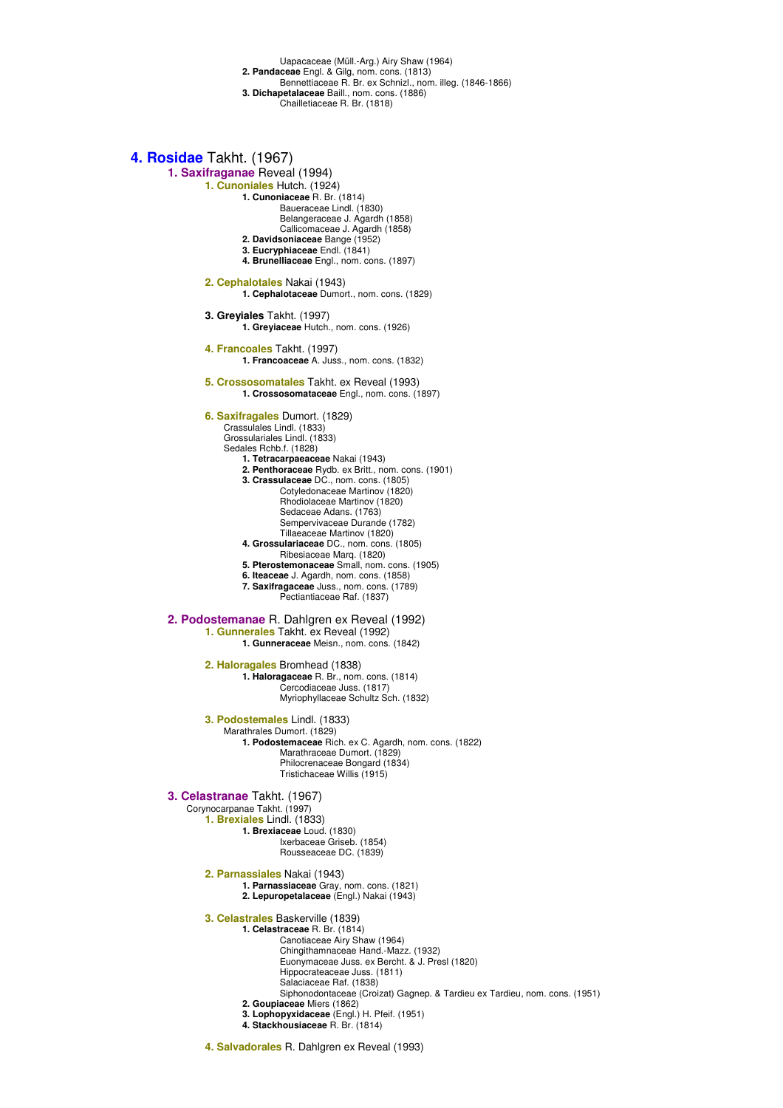Uapacaceae (Müll.-Arg.) Airy Shaw (1964)

- **2. Pandaceae** Engl. & Gilg, nom. cons. (1813)
- Bennettiaceae R. Br. ex Schnizl., nom. illeg. (1846-1866)
- **3. Dichapetalaceae** Baill., nom. cons. (1886) Chailletiaceae R. Br. (1818)
	-

### **4. Rosidae** Takht. (1967)

- **1. Saxifraganae** Reveal (1994)
	- **1. Cunoniales** Hutch. (1924)
		- **1. Cunoniaceae** R. Br. (1814) Baueraceae Lindl. (1830)
			- Belangeraceae J. Agardh (1858)
			- Callicomaceae J. Agardh (1858)
		- **2. Davidsoniaceae** Bange (1952)
		- **3. Eucryphiaceae** Endl. (1841)
		- **4. Brunelliaceae** Engl., nom. cons. (1897)
		- **2. Cephalotales** Nakai (1943) **1. Cephalotaceae** Dumort., nom. cons. (1829)
		- **3. Greyiales** Takht. (1997) **1. Greyiaceae** Hutch., nom. cons. (1926)
		- **4. Francoales** Takht. (1997) **1. Francoaceae** A. Juss., nom. cons. (1832)
		- **5. Crossosomatales** Takht. ex Reveal (1993) **1. Crossosomataceae** Engl., nom. cons. (1897)

### **6. Saxifragales** Dumort. (1829)

- Crassulales Lindl. (1833)
	- Grossulariales Lindl. (1833) Sedales Rchb.f. (1828)
	- **1. Tetracarpaeaceae** Nakai (1943)
	- **2. Penthoraceae** Rydb. ex Britt., nom. cons. (1901)
	- **3. Crassulaceae** DC., nom. cons. (1805)
		- Cotyledonaceae Martinov (1820) Rhodiolaceae Martinov (1820)
		- Sedaceae Adans. (1763)
		- Sempervivaceae Durande (1782)
	- Tillaeaceae Martinov (1820) **4. Grossulariaceae** DC., nom. cons. (1805)
	- Ribesiaceae Marq. (1820)
	- **5. Pterostemonaceae** Small, nom. cons. (1905)
	- **6. Iteaceae** J. Agardh, nom. cons. (1858) **7. Saxifragaceae** Juss., nom. cons. (1789)
		- Pectiantiaceae Raf. (1837)

#### **2. Podostemanae** R. Dahlgren ex Reveal (1992) **1. Gunnerales** Takht. ex Reveal (1992)

**1. Gunneraceae** Meisn., nom. cons. (1842)

- **2. Haloragales** Bromhead (1838) **1. Haloragaceae** R. Br., nom. cons. (1814) Cercodiaceae Juss. (1817) Myriophyllaceae Schultz Sch. (1832)
- **3. Podostemales** Lindl. (1833) Marathrales Dumort. (1829) **1. Podostemaceae** Rich. ex C. Agardh, nom. cons. (1822) Marathraceae Dumort. (1829) Philocrenaceae Bongard (1834) Tristichaceae Willis (1915)

#### **3. Celastranae** Takht. (1967)

Corynocarpanae Takht. (1997)

- **1. Brexiales** Lindl. (1833)
	- **1. Brexiaceae** Loud. (1830) Ixerbaceae Griseb. (1854)
	- Rousseaceae DC. (1839)
- **2. Parnassiales** Nakai (1943)
	- **1. Parnassiaceae** Gray, nom. cons. (1821) **2. Lepuropetalaceae** (Engl.) Nakai (1943)
- **3. Celastrales** Baskerville (1839)
	- **1. Celastraceae** R. Br. (1814)
		- Canotiaceae Airy Shaw (1964)
		- Chingithamnaceae Hand.-Mazz. (1932) Euonymaceae Juss. ex Bercht. & J. Presl (1820)
		- Hippocrateaceae Juss. (1811)
		- Salaciaceae Raf. (1838)
		- Siphonodontaceae (Croizat) Gagnep. & Tardieu ex Tardieu, nom. cons. (1951)
		- **2. Goupiaceae** Miers (1862)
		- **3. Lophopyxidaceae** (Engl.) H. Pfeif. (1951)
		- **4. Stackhousiaceae** R. Br. (1814)
- **4. Salvadorales** R. Dahlgren ex Reveal (1993)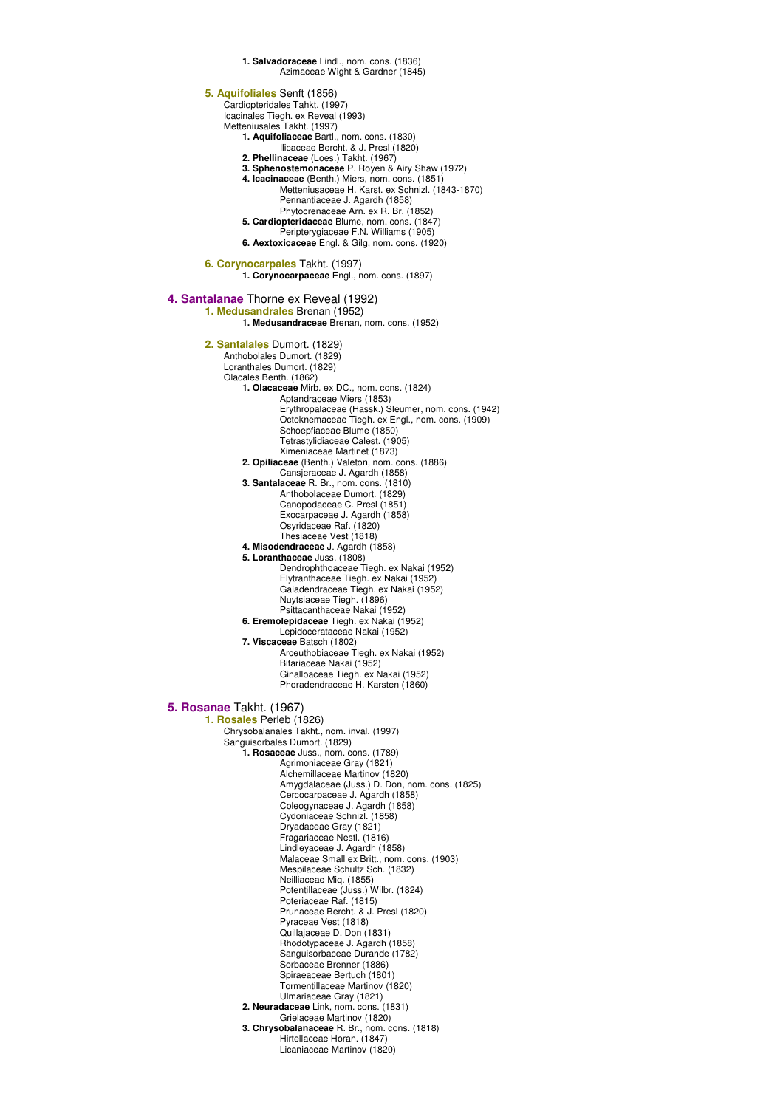**1. Salvadoraceae** Lindl., nom. cons. (1836) Azimaceae Wight & Gardner (1845) **5. Aquifoliales** Senft (1856) Cardiopteridales Tahkt. (1997) Icacinales Tiegh. ex Reveal (1993) Metteniusales Takht. (1997) **1. Aquifoliaceae** Bartl., nom. cons. (1830) Ilicaceae Bercht. & J. Presl (1820) **2. Phellinaceae** (Loes.) Takht. (1967) **3. Sphenostemonaceae** P. Royen & Airy Shaw (1972) **4. Icacinaceae** (Benth.) Miers, nom. cons. (1851) Metteniusaceae H. Karst. ex Schnizl. (1843-1870) Pennantiaceae J. Agardh (1858) Phytocrenaceae Arn. ex R. Br. (1852) **5. Cardiopteridaceae** Blume, nom. cons. (1847) Peripterygiaceae F.N. Williams (1905) **6. Aextoxicaceae** Engl. & Gilg, nom. cons. (1920) **6. Corynocarpales** Takht. (1997) **1. Corynocarpaceae** Engl., nom. cons. (1897) **4. Santalanae** Thorne ex Reveal (1992) **1. Medusandrales** Brenan (1952) **1. Medusandraceae** Brenan, nom. cons. (1952) **2. Santalales** Dumort. (1829) Anthobolales Dumort. (1829) Loranthales Dumort. (1829) Olacales Benth. (1862) **1. Olacaceae** Mirb. ex DC., nom. cons. (1824) Aptandraceae Miers (1853) Erythropalaceae (Hassk.) Sleumer, nom. cons. (1942) Octoknemaceae Tiegh. ex Engl., nom. cons. (1909) Schoepfiaceae Blume (1850) Tetrastylidiaceae Calest. (1905) Ximeniaceae Martinet (1873) **2. Opiliaceae** (Benth.) Valeton, nom. cons. (1886) Cansjeraceae J. Agardh (1858) **3. Santalaceae** R. Br., nom. cons. (1810) Anthobolaceae Dumort. (1829) Canopodaceae C. Presl (1851) Exocarpaceae J. Agardh (1858) Osyridaceae Raf. (1820) Thesiaceae Vest (1818) **4. Misodendraceae** J. Agardh (1858) **5. Loranthaceae** Juss. (1808) Dendrophthoaceae Tiegh. ex Nakai (1952) Elytranthaceae Tiegh. ex Nakai (1952) Gaiadendraceae Tiegh. ex Nakai (1952) Nuytsiaceae Tiegh. (1896) Psittacanthaceae Nakai (1952) **6. Eremolepidaceae** Tiegh. ex Nakai (1952) Lepidocerataceae Nakai (1952) **7. Viscaceae** Batsch (1802) Arceuthobiaceae Tiegh. ex Nakai (1952) Bifariaceae Nakai (1952) Ginalloaceae Tiegh. ex Nakai (1952) Phoradendraceae H. Karsten (1860) **5. Rosanae** Takht. (1967) **1. Rosales** Perleb (1826) Chrysobalanales Takht., nom. inval. (1997) Sanguisorbales Dumort. (1829) **1. Rosaceae** Juss., nom. cons. (1789) Agrimoniaceae Gray (1821) Alchemillaceae Martinov (1820) Amygdalaceae (Juss.) D. Don, nom. cons. (1825) Cercocarpaceae J. Agardh (1858) Coleogynaceae J. Agardh (1858) Cydoniaceae Schnizl. (1858) Dryadaceae Gray (1821) Fragariaceae Nestl. (1816) Lindleyaceae J. Agardh (1858) Malaceae Small ex Britt., nom. cons. (1903) Mespilaceae Schultz Sch. (1832) Neilliaceae Miq. (1855) Potentillaceae (Juss.) Wilbr. (1824) Poteriaceae Raf. (1815) Prunaceae Bercht. & J. Presl (1820) Pyraceae Vest (1818) Quillajaceae D. Don (1831) Rhodotypaceae J. Agardh (1858) Sanguisorbaceae Durande (1782) Sorbaceae Brenner (1886) Spiraeaceae Bertuch (1801) Tormentillaceae Martinov (1820) Ulmariaceae Gray (1821) **2. Neuradaceae** Link, nom. cons. (1831) Grielaceae Martinov (1820) **3. Chrysobalanaceae** R. Br., nom. cons. (1818) Hirtellaceae Horan. (1847) Licaniaceae Martinov (1820)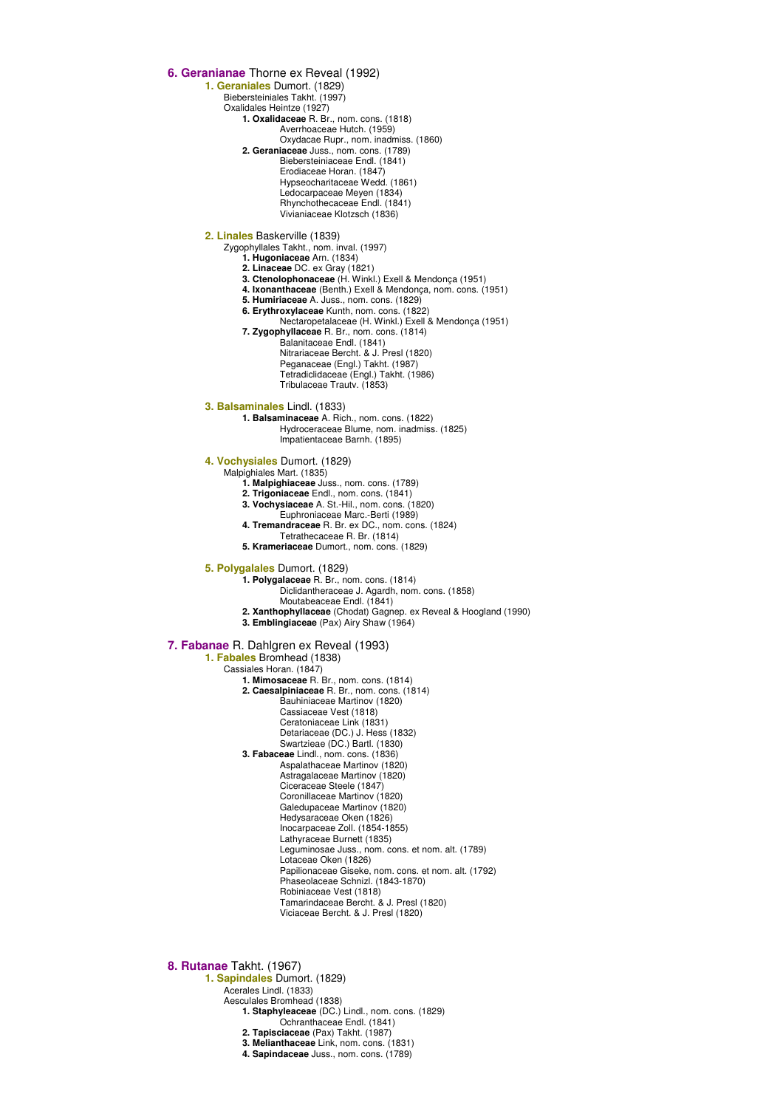**6. Geranianae** Thorne ex Reveal (1992)

**1. Geraniales** Dumort. (1829)

Biebersteiniales Takht. (1997) Oxalidales Heintze (1927)

**1. Oxalidaceae** R. Br., nom. cons. (1818)

Averrhoaceae Hutch. (1959)

Oxydacae Rupr., nom. inadmiss. (1860) **2. Geraniaceae** Juss., nom. cons. (1789) Biebersteiniaceae Endl. (1841) Erodiaceae Horan. (1847)

Hypseocharitaceae Wedd. (1861) Ledocarpaceae Meyen (1834)

Rhynchothecaceae Endl. (1841) Vivianiaceae Klotzsch (1836)

**2. Linales** Baskerville (1839)

Zygophyllales Takht., nom. inval. (1997)

**1. Hugoniaceae** Arn. (1834)

- **2. Linaceae** DC. ex Gray (1821)
- **3. Ctenolophonaceae** (H. Winkl.) Exell & Mendonça (1951) **4. Ixonanthaceae** (Benth.) Exell & Mendonça, nom. cons. (1951)
- **5. Humiriaceae** A. Juss., nom. cons. (1829)
- **6. Erythroxylaceae** Kunth, nom. cons. (1822)
- Nectaropetalaceae (H. Winkl.) Exell & Mendonça (1951) **7. Zygophyllaceae** R. Br., nom. cons. (1814)

Balanitaceae Endl. (1841) Nitrariaceae Bercht. & J. Presl (1820) Peganaceae (Engl.) Takht. (1987) Tetradiclidaceae (Engl.) Takht. (1986) Tribulaceae Trautv. (1853)

**3. Balsaminales** Lindl. (1833)

**1. Balsaminaceae** A. Rich., nom. cons. (1822) Hydroceraceae Blume, nom. inadmiss. (1825)

Impatientaceae Barnh. (1895)

**4. Vochysiales** Dumort. (1829)

Malpighiales Mart. (1835)

**1. Malpighiaceae** Juss., nom. cons. (1789)

- **2. Trigoniaceae** Endl., nom. cons. (1841)
- **3. Vochysiaceae** A. St.-Hil., nom. cons. (1820)
- Euphroniaceae Marc.-Berti (1989) **4. Tremandraceae** R. Br. ex DC., nom. cons. (1824)
	- Tetrathecaceae R. Br. (1814)
- **5. Krameriaceae** Dumort., nom. cons. (1829)

**5. Polygalales** Dumort. (1829)

**1. Polygalaceae** R. Br., nom. cons. (1814)

Diclidantheraceae J. Agardh, nom. cons. (1858)

- Moutabeaceae Endl. (1841)
- **2. Xanthophyllaceae** (Chodat) Gagnep. ex Reveal & Hoogland (1990) **3. Emblingiaceae** (Pax) Airy Shaw (1964)

### **7. Fabanae** R. Dahlgren ex Reveal (1993)

**1. Fabales** Bromhead (1838)

Cassiales Horan. (1847)

**1. Mimosaceae** R. Br., nom. cons. (1814) **2. Caesalpiniaceae** R. Br., nom. cons. (1814) Bauhiniaceae Martinov (1820) Cassiaceae Vest (1818) Ceratoniaceae Link (1831) Detariaceae (DC.) J. Hess (1832) Swartzieae (DC.) Bartl. (1830) **3. Fabaceae** Lindl., nom. cons. (1836) Aspalathaceae Martinov (1820) Astragalaceae Martinov (1820) Ciceraceae Steele (1847) Coronillaceae Martinov (1820) Galedupaceae Martinov (1820) Hedysaraceae Oken (1826) Inocarpaceae Zoll. (1854-1855) Lathyraceae Burnett (1835) Leguminosae Juss., nom. cons. et nom. alt. (1789) Lotaceae Oken (1826) Papilionaceae Giseke, nom. cons. et nom. alt. (1792) Phaseolaceae Schnizl. (1843-1870) Robiniaceae Vest (1818) Tamarindaceae Bercht. & J. Presl (1820) Viciaceae Bercht. & J. Presl (1820)

**8. Rutanae** Takht. (1967)

**1. Sapindales** Dumort. (1829) Acerales Lindl. (1833) Aesculales Bromhead (1838) **1. Staphyleaceae** (DC.) Lindl., nom. cons. (1829) Ochranthaceae Endl. (1841) **2. Tapisciaceae** (Pax) Takht. (1987) **3. Melianthaceae** Link, nom. cons. (1831) **4. Sapindaceae** Juss., nom. cons. (1789)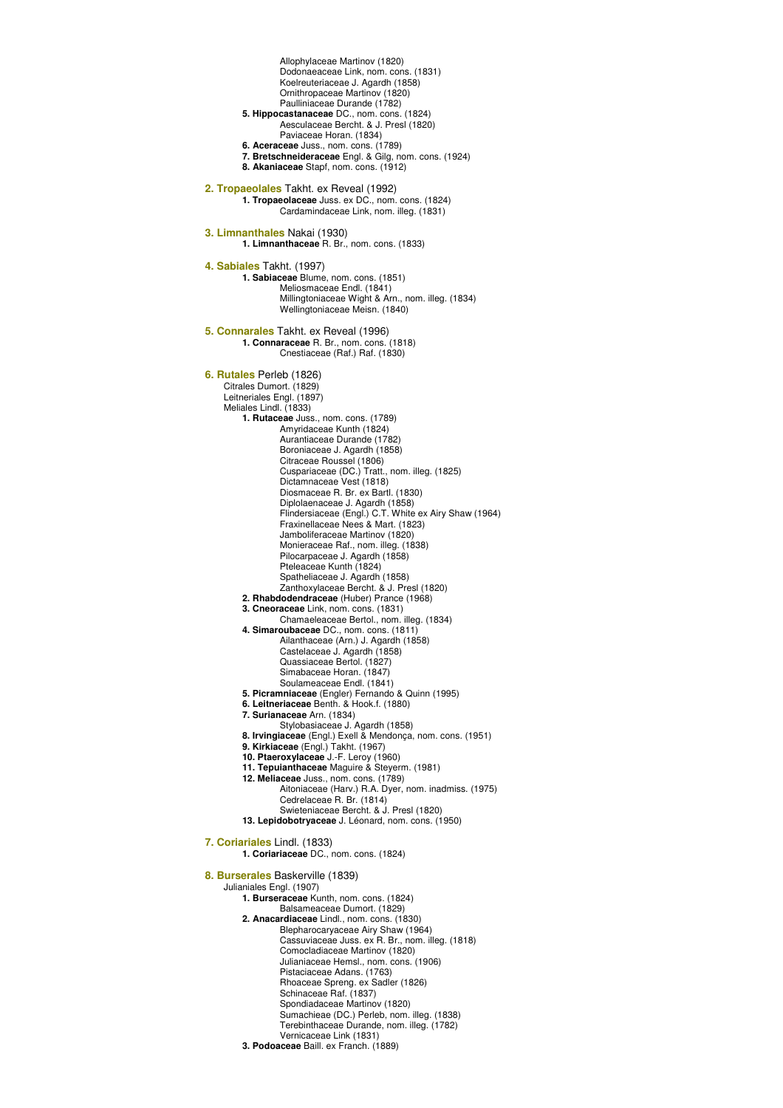Allophylaceae Martinov (1820) Dodonaeaceae Link, nom. cons. (1831) Koelreuteriaceae J. Agardh (1858) Ornithropaceae Martinov (1820) Paulliniaceae Durande (1782) **5. Hippocastanaceae** DC., nom. cons. (1824) Aesculaceae Bercht. & J. Presl (1820) Paviaceae Horan. (1834) **6. Aceraceae** Juss., nom. cons. (1789) **7. Bretschneideraceae** Engl. & Gilg, nom. cons. (1924) **8. Akaniaceae** Stapf, nom. cons. (1912) **2. Tropaeolales** Takht. ex Reveal (1992) **1. Tropaeolaceae** Juss. ex DC., nom. cons. (1824) Cardamindaceae Link, nom. illeg. (1831) **3. Limnanthales** Nakai (1930) **1. Limnanthaceae** R. Br., nom. cons. (1833) **4. Sabiales** Takht. (1997) **1. Sabiaceae** Blume, nom. cons. (1851) Meliosmaceae Endl. (1841) Millingtoniaceae Wight & Arn., nom. illeg. (1834) Wellingtoniaceae Meisn. (1840) **5. Connarales** Takht. ex Reveal (1996) **1. Connaraceae** R. Br., nom. cons. (1818) Cnestiaceae (Raf.) Raf. (1830) **6. Rutales** Perleb (1826) Citrales Dumort. (1829) Leitneriales Engl. (1897) Meliales Lindl. (1833) **1. Rutaceae** Juss., nom. cons. (1789) Amyridaceae Kunth (1824) Aurantiaceae Durande (1782) Boroniaceae J. Agardh (1858) Citraceae Roussel (1806) Cuspariaceae (DC.) Tratt., nom. illeg. (1825) Dictamnaceae Vest (1818) Diosmaceae R. Br. ex Bartl. (1830) Diplolaenaceae J. Agardh (1858) Flindersiaceae (Engl.) C.T. White ex Airy Shaw (1964) Fraxinellaceae Nees & Mart. (1823) Jamboliferaceae Martinov (1820) Monieraceae Raf., nom. illeg. (1838) Pilocarpaceae J. Agardh (1858) Pteleaceae Kunth (1824) Spatheliaceae J. Agardh (1858) Zanthoxylaceae Bercht. & J. Presl (1820) **2. Rhabdodendraceae** (Huber) Prance (1968) **3. Cneoraceae** Link, nom. cons. (1831) Chamaeleaceae Bertol., nom. illeg. (1834) **4. Simaroubaceae** DC., nom. cons. (1811) Ailanthaceae (Arn.) J. Agardh (1858) Castelaceae J. Agardh (1858) Quassiaceae Bertol. (1827) Simabaceae Horan. (1847) Soulameaceae Endl. (1841) **5. Picramniaceae** (Engler) Fernando & Quinn (1995) **6. Leitneriaceae** Benth. & Hook.f. (1880) **7. Surianaceae** Arn. (1834) Stylobasiaceae J. Agardh (1858) **8. Irvingiaceae** (Engl.) Exell & Mendonça, nom. cons. (1951) **9. Kirkiaceae** (Engl.) Takht. (1967) **10. Ptaeroxylaceae** J.-F. Leroy (1960) **11. Tepuianthaceae** Maguire & Steyerm. (1981) **12. Meliaceae** Juss., nom. cons. (1789) Aitoniaceae (Harv.) R.A. Dyer, nom. inadmiss. (1975) Cedrelaceae R. Br. (1814) Swieteniaceae Bercht. & J. Presl (1820) **13. Lepidobotryaceae** J. Léonard, nom. cons. (1950) **7. Coriariales** Lindl. (1833) **1. Coriariaceae** DC., nom. cons. (1824) **8. Burserales** Baskerville (1839) Julianiales Engl. (1907) **1. Burseraceae** Kunth, nom. cons. (1824) Balsameaceae Dumort. (1829) **2. Anacardiaceae** Lindl., nom. cons. (1830) Blepharocaryaceae Airy Shaw (1964) Cassuviaceae Juss. ex R. Br., nom. illeg. (1818) Comocladiaceae Martinov (1820) Julianiaceae Hemsl., nom. cons. (1906) Pistaciaceae Adans. (1763) Rhoaceae Spreng. ex Sadler (1826) Schinaceae Raf. (1837) Spondiadaceae Martinov (1820) Sumachieae (DC.) Perleb, nom. illeg. (1838) Terebinthaceae Durande, nom. illeg. (1782) Vernicaceae Link (1831) **3. Podoaceae** Baill. ex Franch. (1889)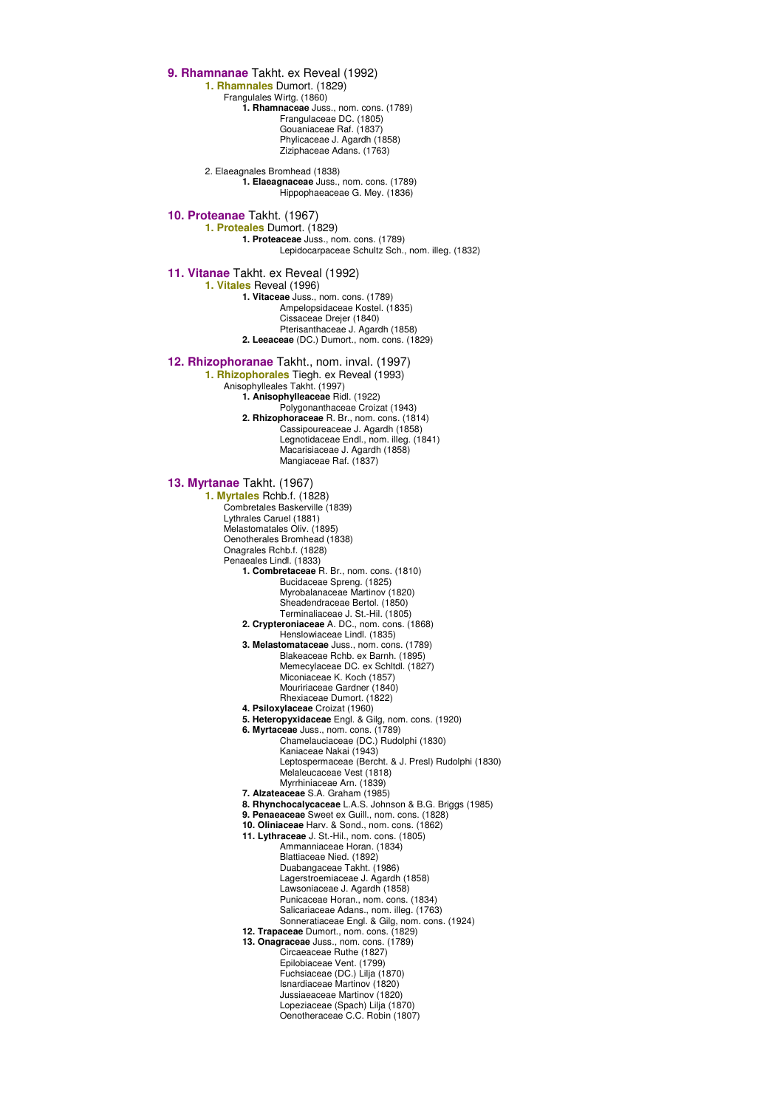**9. Rhamnanae** Takht. ex Reveal (1992) **1. Rhamnales** Dumort. (1829) Frangulales Wirtg. (1860) **1. Rhamnaceae** Juss., nom. cons. (1789) Frangulaceae DC. (1805) Gouaniaceae Raf. (1837) Phylicaceae J. Agardh (1858) Ziziphaceae Adans. (1763) 2. Elaeagnales Bromhead (1838) **1. Elaeagnaceae** Juss., nom. cons. (1789) Hippophaeaceae G. Mey. (1836) **10. Proteanae** Takht. (1967) **1. Proteales** Dumort. (1829) **1. Proteaceae** Juss., nom. cons. (1789) Lepidocarpaceae Schultz Sch., nom. illeg. (1832) **11. Vitanae** Takht. ex Reveal (1992) **1. Vitales** Reveal (1996) **1. Vitaceae** Juss., nom. cons. (1789) Ampelopsidaceae Kostel. (1835) Cissaceae Drejer (1840) Pterisanthaceae J. Agardh (1858) **2. Leeaceae** (DC.) Dumort., nom. cons. (1829) **12. Rhizophoranae** Takht., nom. inval. (1997) **1. Rhizophorales** Tiegh. ex Reveal (1993) Anisophylleales Takht. (1997) **1. Anisophylleaceae** Ridl. (1922) Polygonanthaceae Croizat (1943) **2. Rhizophoraceae** R. Br., nom. cons. (1814) Cassipoureaceae J. Agardh (1858) Legnotidaceae Endl., nom. illeg. (1841) Macarisiaceae J. Agardh (1858) Mangiaceae Raf. (1837) **13. Myrtanae** Takht. (1967) **1. Myrtales** Rchb.f. (1828) Combretales Baskerville (1839) Lythrales Caruel (1881) Melastomatales Oliv. (1895) Oenotherales Bromhead (1838) Onagrales Rchb.f. (1828) Penaeales Lindl. (1833) **1. Combretaceae** R. Br., nom. cons. (1810) Bucidaceae Spreng. (1825) Myrobalanaceae Martinov (1820) Sheadendraceae Bertol. (1850) Terminaliaceae J. St.-Hil. (1805) **2. Crypteroniaceae** A. DC., nom. cons. (1868) Henslowiaceae Lindl. (1835) **3. Melastomataceae** Juss., nom. cons. (1789) Blakeaceae Rchb. ex Barnh. (1895) Memecylaceae DC. ex Schltdl. (1827) Miconiaceae K. Koch (1857) Mouririaceae Gardner (1840) Rhexiaceae Dumort. (1822) **4. Psiloxylaceae** Croizat (1960) **5. Heteropyxidaceae** Engl. & Gilg, nom. cons. (1920) **6. Myrtaceae** Juss., nom. cons. (1789) Chamelauciaceae (DC.) Rudolphi (1830) Kaniaceae Nakai (1943) Leptospermaceae (Bercht. & J. Presl) Rudolphi (1830) Melaleucaceae Vest (1818) Myrrhiniaceae Arn. (1839) **7. Alzateaceae** S.A. Graham (1985) **8. Rhynchocalycaceae** L.A.S. Johnson & B.G. Briggs (1985) **9. Penaeaceae** Sweet ex Guill., nom. cons. (1828) **10. Oliniaceae** Harv. & Sond., nom. cons. (1862) **11. Lythraceae** J. St.-Hil., nom. cons. (1805) Ammanniaceae Horan. (1834) Blattiaceae Nied. (1892) Duabangaceae Takht. (1986) Lagerstroemiaceae J. Agardh (1858) Lawsoniaceae J. Agardh (1858) Punicaceae Horan., nom. cons. (1834) Salicariaceae Adans., nom. illeg. (1763) Sonneratiaceae Engl. & Gilg, nom. cons. (1924) **12. Trapaceae** Dumort., nom. cons. (1829) **13. Onagraceae** Juss., nom. cons. (1789) Circaeaceae Ruthe (1827) Epilobiaceae Vent. (1799) Fuchsiaceae (DC.) Lilja (1870) Isnardiaceae Martinov (1820) Jussiaeaceae Martinov (1820) Lopeziaceae (Spach) Lilja (1870) Oenotheraceae C.C. Robin (1807)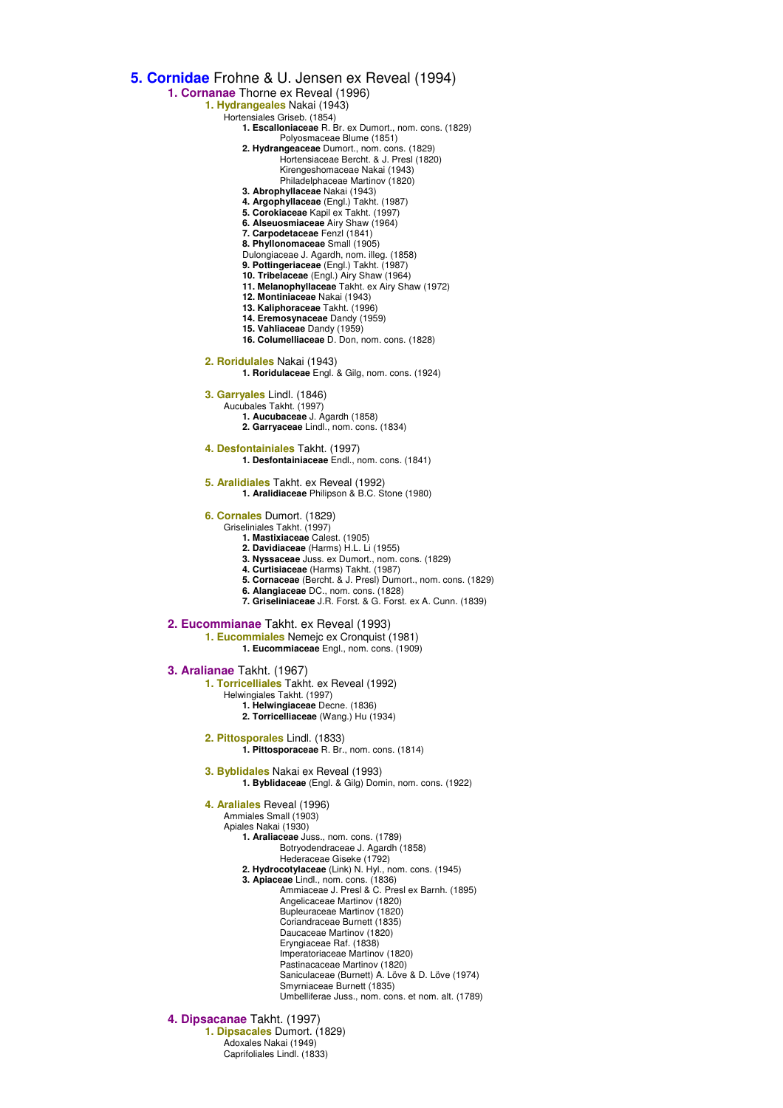**5. Cornidae** Frohne & U. Jensen ex Reveal (1994) **1. Cornanae** Thorne ex Reveal (1996) **1. Hydrangeales** Nakai (1943) Hortensiales Griseb. (1854) **1. Escalloniaceae** R. Br. ex Dumort., nom. cons. (1829) Polyosmaceae Blume (1851) **2. Hydrangeaceae** Dumort., nom. cons. (1829) Hortensiaceae Bercht. & J. Presl (1820) Kirengeshomaceae Nakai (1943) Philadelphaceae Martinov (1820) **3. Abrophyllaceae** Nakai (1943) **4. Argophyllaceae** (Engl.) Takht. (1987) **5. Corokiaceae** Kapil ex Takht. (1997) **6. Alseuosmiaceae** Airy Shaw (1964) **7. Carpodetaceae** Fenzl (1841) **8. Phyllonomaceae** Small (1905) Dulongiaceae J. Agardh, nom. illeg. (1858) **9. Pottingeriaceae** (Engl.) Takht. (1987) **10. Tribelaceae** (Engl.) Airy Shaw (1964) **11. Melanophyllaceae** Takht. ex Airy Shaw (1972) **12. Montiniaceae** Nakai (1943) **13. Kaliphoraceae** Takht. (1996) **14. Eremosynaceae** Dandy (1959) **15. Vahliaceae** Dandy (1959) **16. Columelliaceae** D. Don, nom. cons. (1828) **2. Roridulales** Nakai (1943) **1. Roridulaceae** Engl. & Gilg, nom. cons. (1924) **3. Garryales** Lindl. (1846) Aucubales Takht. (1997) **1. Aucubaceae** J. Agardh (1858) **2. Garryaceae** Lindl., nom. cons. (1834) **4. Desfontainiales** Takht. (1997) **1. Desfontainiaceae** Endl., nom. cons. (1841) **5. Aralidiales** Takht. ex Reveal (1992) **1. Aralidiaceae** Philipson & B.C. Stone (1980) **6. Cornales** Dumort. (1829) Griseliniales Takht. (1997) **1. Mastixiaceae** Calest. (1905) **2. Davidiaceae** (Harms) H.L. Li (1955) **3. Nyssaceae** Juss. ex Dumort., nom. cons. (1829) **4. Curtisiaceae** (Harms) Takht. (1987) **5. Cornaceae** (Bercht. & J. Presl) Dumort., nom. cons. (1829) **6. Alangiaceae** DC., nom. cons. (1828) **7. Griseliniaceae** J.R. Forst. & G. Forst. ex A. Cunn. (1839) **2. Eucommianae** Takht. ex Reveal (1993) **1. Eucommiales** Nemejc ex Cronquist (1981) **1. Eucommiaceae** Engl., nom. cons. (1909) **3. Aralianae** Takht. (1967) **1. Torricelliales** Takht. ex Reveal (1992) Helwingiales Takht. (1997) **1. Helwingiaceae** Decne. (1836) **2. Torricelliaceae** (Wang.) Hu (1934) **2. Pittosporales** Lindl. (1833) **1. Pittosporaceae** R. Br., nom. cons. (1814) **3. Byblidales** Nakai ex Reveal (1993) **1. Byblidaceae** (Engl. & Gilg) Domin, nom. cons. (1922) **4. Araliales** Reveal (1996) Ammiales Small (1903) Apiales Nakai (1930) **1. Araliaceae** Juss., nom. cons. (1789) Botryodendraceae J. Agardh (1858) Hederaceae Giseke (1792) **2. Hydrocotylaceae** (Link) N. Hyl., nom. cons. (1945) **3. Apiaceae** Lindl., nom. cons. (1836) Ammiaceae J. Presl & C. Presl ex Barnh. (1895) Angelicaceae Martinov (1820) Bupleuraceae Martinov (1820) Coriandraceae Burnett (1835) Daucaceae Martinov (1820) Eryngiaceae Raf. (1838) Imperatoriaceae Martinov (1820) Pastinacaceae Martinov (1820) Saniculaceae (Burnett) A. Löve & D. Löve (1974) Smyrniaceae Burnett (1835) Umbelliferae Juss., nom. cons. et nom. alt. (1789) **4. Dipsacanae** Takht. (1997) **1. Dipsacales** Dumort. (1829) Adoxales Nakai (1949) Caprifoliales Lindl. (1833)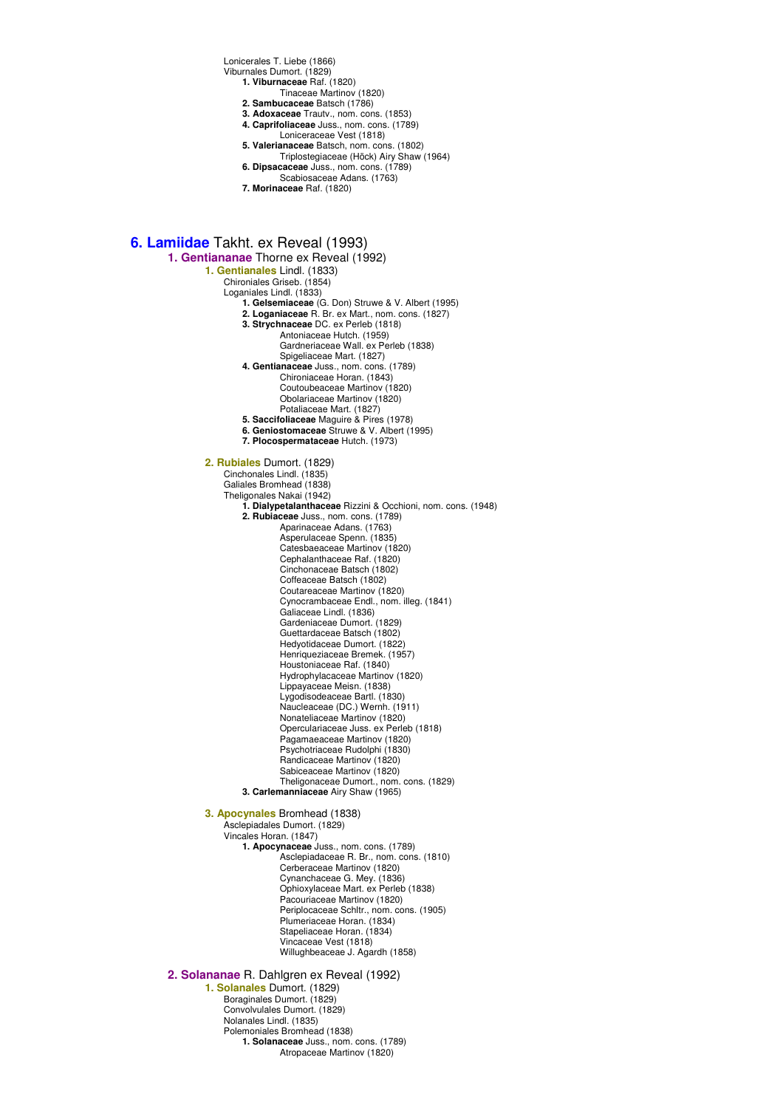Lonicerales T. Liebe (1866)

Viburnales Dumort. (1829) **1. Viburnaceae** Raf. (1820)

- Tinaceae Martinov (1820)
- **2. Sambucaceae** Batsch (1786)
- **3. Adoxaceae** Trautv., nom. cons. (1853)
- **4. Caprifoliaceae** Juss., nom. cons. (1789)
	-
- Loniceraceae Vest (1818) **5. Valerianaceae** Batsch, nom. cons. (1802) Triplostegiaceae (Höck) Airy Shaw (1964) **6. Dipsacaceae** Juss., nom. cons. (1789)
- Scabiosaceae Adans. (1763)
- **7. Morinaceae** Raf. (1820)

**6. Lamiidae** Takht. ex Reveal (1993)

**1. Gentiananae** Thorne ex Reveal (1992)

**1. Gentianales** Lindl. (1833)

Chironiales Griseb. (1854)

Loganiales Lindl. (1833)

- **1. Gelsemiaceae** (G. Don) Struwe & V. Albert (1995)
- **2. Loganiaceae** R. Br. ex Mart., nom. cons. (1827)
- **3. Strychnaceae** DC. ex Perleb (1818)
	- Antoniaceae Hutch. (1959)

Gardneriaceae Wall. ex Perleb (1838) Spigeliaceae Mart. (1827)

- **4. Gentianaceae** Juss., nom. cons. (1789)
	- Chironiaceae Horan. (1843) Coutoubeaceae Martinov (1820) Obolariaceae Martinov (1820)
		- Potaliaceae Mart. (1827)
- **5. Saccifoliaceae** Maguire & Pires (1978)
- **6. Geniostomaceae** Struwe & V. Albert (1995)
- **7. Plocospermataceae** Hutch. (1973)

**2. Rubiales** Dumort. (1829)

Cinchonales Lindl. (1835)

Galiales Bromhead (1838)

Theligonales Nakai (1942)

**1. Dialypetalanthaceae** Rizzini & Occhioni, nom. cons. (1948)

**2. Rubiaceae** Juss., nom. cons. (1789)

Aparinaceae Adans. (1763) Asperulaceae Spenn. (1835) Catesbaeaceae Martinov (1820) Cephalanthaceae Raf. (1820) Cinchonaceae Batsch (1802) Coffeaceae Batsch (1802) Coutareaceae Martinov (1820) Cynocrambaceae Endl., nom. illeg. (1841) Galiaceae Lindl. (1836) Gardeniaceae Dumort. (1829) Guettardaceae Batsch (1802) Hedyotidaceae Dumort. (1822) Henriqueziaceae Bremek. (1957) Houstoniaceae Raf. (1840) Hydrophylacaceae Martinov (1820) Lippayaceae Meisn. (1838) Lygodisodeaceae Bartl. (1830) Naucleaceae (DC.) Wernh. (1911) Nonateliaceae Martinov (1820) Operculariaceae Juss. ex Perleb (1818) Pagamaeaceae Martinov (1820) Psychotriaceae Rudolphi (1830) Randicaceae Martinov (1820) Sabiceaceae Martinov (1820) Theligonaceae Dumort., nom. cons. (1829)

**3. Carlemanniaceae** Airy Shaw (1965)

**3. Apocynales** Bromhead (1838)

Asclepiadales Dumort. (1829)

Vincales Horan. (1847) **1. Apocynaceae** Juss., nom. cons. (1789) Asclepiadaceae R. Br., nom. cons. (1810) Cerberaceae Martinov (1820) Cynanchaceae G. Mey. (1836) Ophioxylaceae Mart. ex Perleb (1838) Pacouriaceae Martinov (1820) Periplocaceae Schltr., nom. cons. (1905) Plumeriaceae Horan. (1834) Stapeliaceae Horan. (1834) Vincaceae Vest (1818) Willughbeaceae J. Agardh (1858)

### **2. Solananae** R. Dahlgren ex Reveal (1992)

**1. Solanales** Dumort. (1829) Boraginales Dumort. (1829) Convolvulales Dumort. (1829) Nolanales Lindl. (1835) Polemoniales Bromhead (1838) **1. Solanaceae** Juss., nom. cons. (1789) Atropaceae Martinov (1820)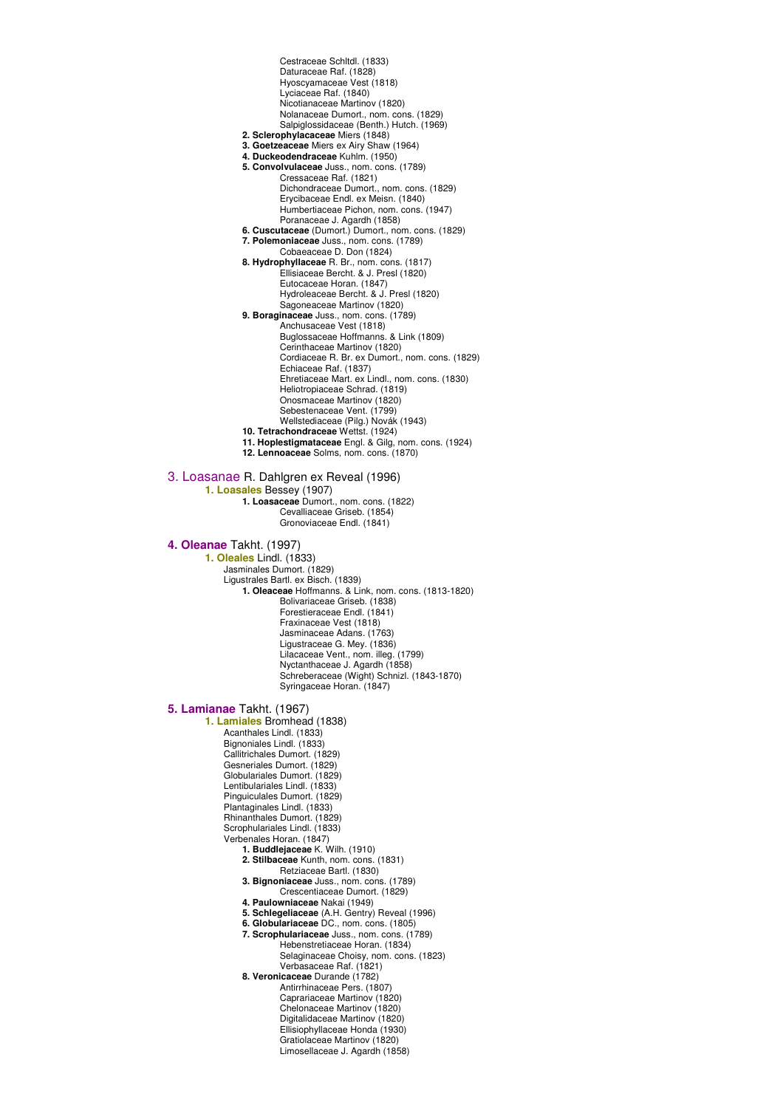Cestraceae Schltdl. (1833) Daturaceae Raf. (1828) Hyoscyamaceae Vest (1818) Lyciaceae Raf. (1840) Nicotianaceae Martinov (1820) Nolanaceae Dumort., nom. cons. (1829) Salpiglossidaceae (Benth.) Hutch. (1969) **2. Sclerophylacaceae** Miers (1848) **3. Goetzeaceae** Miers ex Airy Shaw (1964) **4. Duckeodendraceae** Kuhlm. (1950) **5. Convolvulaceae** Juss., nom. cons. (1789) Cressaceae Raf. (1821) Dichondraceae Dumort., nom. cons. (1829) Erycibaceae Endl. ex Meisn. (1840) Humbertiaceae Pichon, nom. cons. (1947) Poranaceae J. Agardh (1858) **6. Cuscutaceae** (Dumort.) Dumort., nom. cons. (1829) **7. Polemoniaceae** Juss., nom. cons. (1789) Cobaeaceae D. Don (1824) **8. Hydrophyllaceae** R. Br., nom. cons. (1817) Ellisiaceae Bercht. & J. Presl (1820) Eutocaceae Horan. (1847) Hydroleaceae Bercht. & J. Presl (1820) Sagoneaceae Martinov (1820) **9. Boraginaceae** Juss., nom. cons. (1789) Anchusaceae Vest (1818) Buglossaceae Hoffmanns. & Link (1809) Cerinthaceae Martinov (1820) Cordiaceae R. Br. ex Dumort., nom. cons. (1829) Echiaceae Raf. (1837) Ehretiaceae Mart. ex Lindl., nom. cons. (1830) Heliotropiaceae Schrad. (1819) Onosmaceae Martinov (1820) Sebestenaceae Vent. (1799) Wellstediaceae (Pilg.) Novák (1943) **10. Tetrachondraceae** Wettst. (1924) **11. Hoplestigmataceae** Engl. & Gilg, nom. cons. (1924) **12. Lennoaceae** Solms, nom. cons. (1870) 3. Loasanae R. Dahlgren ex Reveal (1996) **1. Loasales** Bessey (1907) **1. Loasaceae** Dumort., nom. cons. (1822) Cevalliaceae Griseb. (1854) Gronoviaceae Endl. (1841) **4. Oleanae** Takht. (1997) **1. Oleales** Lindl. (1833) Jasminales Dumort. (1829) Ligustrales Bartl. ex Bisch. (1839) **1. Oleaceae** Hoffmanns. & Link, nom. cons. (1813-1820) Bolivariaceae Griseb. (1838) Forestieraceae Endl. (1841) Fraxinaceae Vest (1818) Jasminaceae Adans. (1763) Ligustraceae G. Mey. (1836) Lilacaceae Vent., nom. illeg. (1799) Nyctanthaceae J. Agardh (1858) Schreberaceae (Wight) Schnizl. (1843-1870) Syringaceae Horan. (1847) **5. Lamianae** Takht. (1967) **1. Lamiales** Bromhead (1838) Acanthales Lindl. (1833) Bignoniales Lindl. (1833) Callitrichales Dumort. (1829) Gesneriales Dumort. (1829) Globulariales Dumort. (1829) Lentibulariales Lindl. (1833) Pinguiculales Dumort. (1829) Plantaginales Lindl. (1833) Rhinanthales Dumort. (1829) Scrophulariales Lindl. (1833) Verbenales Horan. (1847) **1. Buddlejaceae** K. Wilh. (1910) **2. Stilbaceae** Kunth, nom. cons. (1831) Retziaceae Bartl. (1830) **3. Bignoniaceae** Juss., nom. cons. (1789) Crescentiaceae Dumort. (1829) **4. Paulowniaceae** Nakai (1949) **5. Schlegeliaceae** (A.H. Gentry) Reveal (1996) **6. Globulariaceae** DC., nom. cons. (1805) **7. Scrophulariaceae** Juss., nom. cons. (1789) Hebenstretiaceae Horan. (1834) Selaginaceae Choisy, nom. cons. (1823) Verbasaceae Raf. (1821) **8. Veronicaceae** Durande (1782) Antirrhinaceae Pers. (1807) Caprariaceae Martinov (1820) Chelonaceae Martinov (1820) Digitalidaceae Martinov (1820) Ellisiophyllaceae Honda (1930) Gratiolaceae Martinov (1820) Limosellaceae J. Agardh (1858)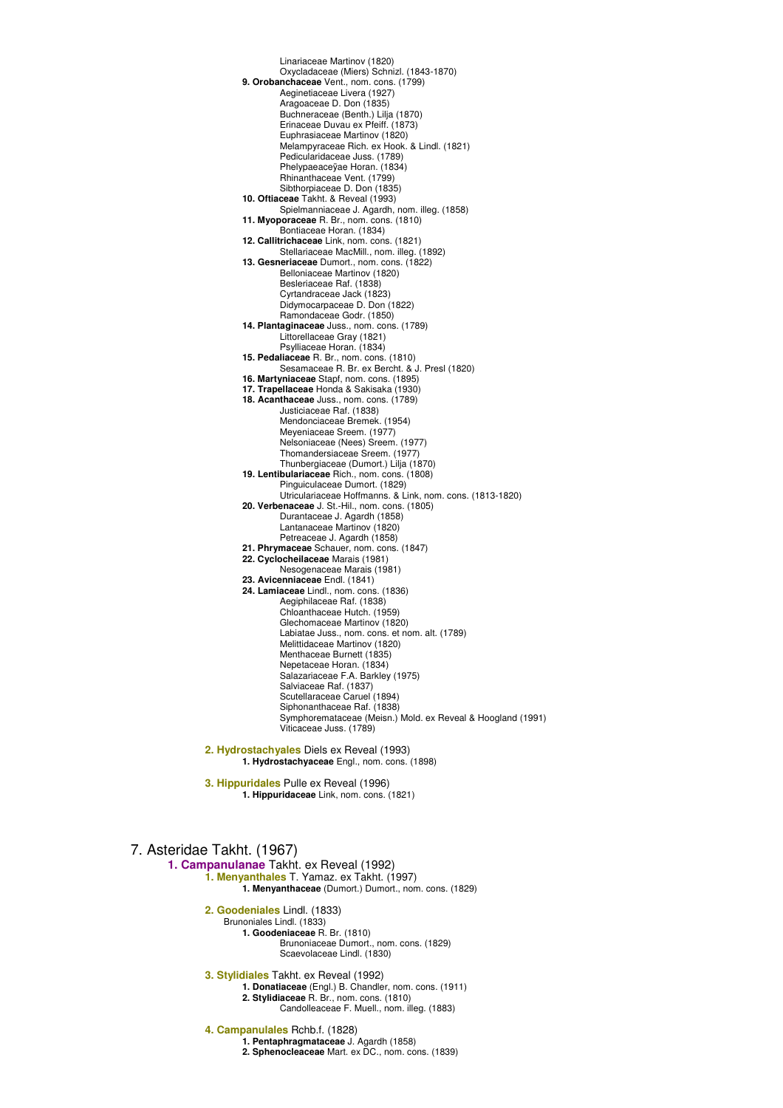Linariaceae Martinov (1820) Oxycladaceae (Miers) Schnizl. (1843-1870) **9. Orobanchaceae** Vent., nom. cons. (1799) Aeginetiaceae Livera (1927) Aragoaceae D. Don (1835) Buchneraceae (Benth.) Lilja (1870) Erinaceae Duvau ex Pfeiff. (1873) Euphrasiaceae Martinov (1820) Melampyraceae Rich. ex Hook. & Lindl. (1821) Pedicularidaceae Juss. (1789) Phelypaeaceÿae Horan. (1834) Rhinanthaceae Vent. (1799) Sibthorpiaceae D. Don (1835) **10. Oftiaceae** Takht. & Reveal (1993) Spielmanniaceae J. Agardh, nom. illeg. (1858) **11. Myoporaceae** R. Br., nom. cons. (1810) Bontiaceae Horan. (1834) **12. Callitrichaceae** Link, nom. cons. (1821) Stellariaceae MacMill., nom. illeg. (1892) **13. Gesneriaceae** Dumort., nom. cons. (1822) Belloniaceae Martinov (1820) Besleriaceae Raf. (1838) Cyrtandraceae Jack (1823) Didymocarpaceae D. Don (1822) Ramondaceae Godr. (1850) **14. Plantaginaceae** Juss., nom. cons. (1789) Littorellaceae Gray (1821) Psylliaceae Horan. (1834) **15. Pedaliaceae** R. Br., nom. cons. (1810) Sesamaceae R. Br. ex Bercht. & J. Presl (1820) **16. Martyniaceae** Stapf, nom. cons. (1895) **17. Trapellaceae** Honda & Sakisaka (1930) **18. Acanthaceae** Juss., nom. cons. (1789) Justiciaceae Raf. (1838) Mendonciaceae Bremek. (1954) Meyeniaceae Sreem. (1977) Nelsoniaceae (Nees) Sreem. (1977) Thomandersiaceae Sreem. (1977) Thunbergiaceae (Dumort.) Lilja (1870) **19. Lentibulariaceae** Rich., nom. cons. (1808) Pinguiculaceae Dumort. (1829) Utriculariaceae Hoffmanns. & Link, nom. cons. (1813-1820) **20. Verbenaceae** J. St.-Hil., nom. cons. (1805) Durantaceae J. Agardh (1858) Lantanaceae Martinov (1820) Petreaceae J. Agardh (1858) **21. Phrymaceae** Schauer, nom. cons. (1847) **22. Cyclocheilaceae** Marais (1981) Nesogenaceae Marais (1981) **23. Avicenniaceae** Endl. (1841) **24. Lamiaceae** Lindl., nom. cons. (1836) Aegiphilaceae Raf. (1838) Chloanthaceae Hutch. (1959) Glechomaceae Martinov (1820) Labiatae Juss., nom. cons. et nom. alt. (1789) Melittidaceae Martinov (1820) Menthaceae Burnett (1835) Nepetaceae Horan. (1834) Salazariaceae F.A. Barkley (1975) Salviaceae Raf. (1837) Scutellaraceae Caruel (1894) Siphonanthaceae Raf. (1838) Symphoremataceae (Meisn.) Mold. ex Reveal & Hoogland (1991) Viticaceae Juss. (1789) **2. Hydrostachyales** Diels ex Reveal (1993) **1. Hydrostachyaceae** Engl., nom. cons. (1898)

**3. Hippuridales** Pulle ex Reveal (1996) **1. Hippuridaceae** Link, nom. cons. (1821)

## 7. Asteridae Takht. (1967)

**1. Campanulanae** Takht. ex Reveal (1992) **1. Menyanthales** T. Yamaz. ex Takht. (1997) **1. Menyanthaceae** (Dumort.) Dumort., nom. cons. (1829) **2. Goodeniales** Lindl. (1833)

Brunoniales Lindl. (1833) **1. Goodeniaceae** R. Br. (1810) Brunoniaceae Dumort., nom. cons. (1829) Scaevolaceae Lindl. (1830)

**3. Stylidiales** Takht. ex Reveal (1992)

- **1. Donatiaceae** (Engl.) B. Chandler, nom. cons. (1911)
	- **2. Stylidiaceae** R. Br., nom. cons. (1810) Candolleaceae F. Muell., nom. illeg. (1883)
- **4. Campanulales** Rchb.f. (1828)
	- **1. Pentaphragmataceae** J. Agardh (1858)
	- **2. Sphenocleaceae** Mart. ex DC., nom. cons. (1839)